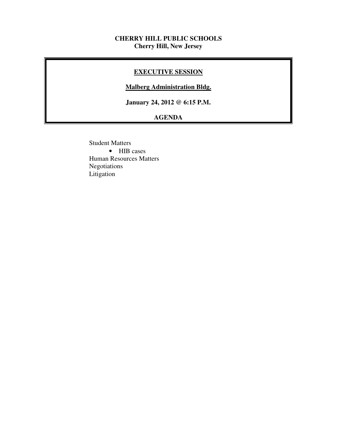#### **CHERRY HILL PUBLIC SCHOOLS Cherry Hill, New Jersey**

#### **EXECUTIVE SESSION**

#### **Malberg Administration Bldg.**

 **January 24, 2012 @ 6:15 P.M.** 

# **AGENDA**

 Student Matters • HIB cases Human Resources Matters Negotiations Litigation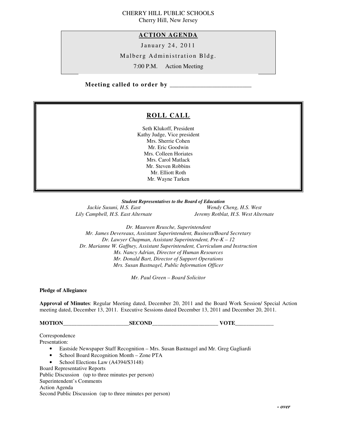#### CHERRY HILL PUBLIC SCHOOLS Cherry Hill, New Jersey

 **ACTION AGENDA** 

January 24, 2011

Malberg Administration Bldg.

7:00 P.M. Action Meeting

 **Meeting called to order by \_\_\_\_\_\_\_\_\_\_\_\_\_\_\_\_\_\_\_\_\_\_\_\_\_\_\_** 

# **ROLL CALL**

 Seth Klukoff, President Kathy Judge, Vice president Mrs. Sherrie Cohen Mr. Eric Goodwin Mrs. Colleen Horiates Mrs. Carol Matlack Mr. Steven Robbins Mr. Elliott Roth Mr. Wayne Tarken

 *Student Representatives to the Board of Education*  Jackie Susuni, H.S. East Lily Campbell, H.S. East Alternate

*Wendy Cheng, H.S. West Lily Campbell, H.S. East Alternate Jeremy Rotblat, H.S. West Alternate* 

 *Dr. Maureen Reusche, Superintendent Mr. James Devereaux, Assistant Superintendent, Business/Board Secretary Dr. Lawyer Chapman, Assistant Superintendent, Pre-K – 12 Dr. Marianne W. Gaffney, Assistant Superintendent, Curriculum and Instruction Ms. Nancy Adrian, Director of Human Resources Mr. Donald Bart, Director of Support Operations Mrs. Susan Bastnagel, Public Information Officer* 

 *Mr. Paul Green – Board Solicitor* 

 **Pledge of Allegiance** 

 **Approval of Minutes**: Regular Meeting dated, December 20, 2011 and the Board Work Session/ Special Action meeting dated, December 13, 2011. Executive Sessions dated December 13, 2011 and December 20, 2011.

**MOTION\_\_\_\_\_\_\_\_\_\_\_\_\_\_\_\_\_\_\_\_\_\_\_\_SECOND\_\_\_\_\_\_\_\_\_\_\_\_\_\_\_\_\_\_\_\_\_\_\_\_ VOTE\_\_\_\_\_\_\_\_\_\_\_\_\_\_** 

Presentation: Presentation: • Eastside Newspaper Staff Recognition – Mrs. Susan Bastnagel and Mr. Greg Gagliardi • School Board Recognition Month – Zone PTA • School Elections Law (A4394/S3148) Board Representative Reports Public Discussion (up to three minutes per person) Superintendent's Comments Action Agenda Correspondence

Second Public Discussion (up to three minutes per person)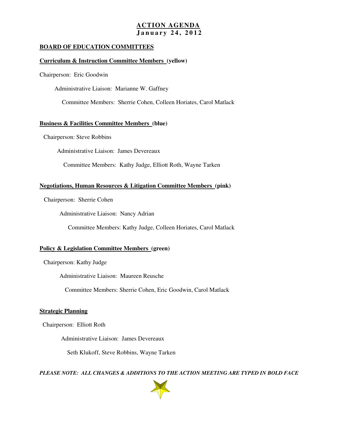# **ACTION AGENDA J a n u a r y 2 4 , 2 0 1 2**

#### **BOARD OF EDUCATION COMMITTEES**

#### **Curriculum & Instruction Committee Members (yellow)**

Chairperson: Eric Goodwin

Administrative Liaison: Marianne W. Gaffney

Committee Members: Sherrie Cohen, Colleen Horiates, Carol Matlack

#### **Business & Facilities Committee Members (blue)**

Chairperson: Steve Robbins

Administrative Liaison: James Devereaux

Committee Members: Kathy Judge, Elliott Roth, Wayne Tarken

#### **Negotiations, Human Resources & Litigation Committee Members (pink)**

Chairperson: Sherrie Cohen

Administrative Liaison: Nancy Adrian

Committee Members: Kathy Judge, Colleen Horiates, Carol Matlack

#### **Policy & Legislation Committee Members (green)**

Chairperson: Kathy Judge

Administrative Liaison: Maureen Reusche

Committee Members: Sherrie Cohen, Eric Goodwin, Carol Matlack

#### **Strategic Planning**

Chairperson: Elliott Roth

Administrative Liaison: James Devereaux

Seth Klukoff, Steve Robbins, Wayne Tarken

 *PLEASE NOTE: ALL CHANGES & ADDITIONS TO THE ACTION MEETING ARE TYPED IN BOLD FACE* 

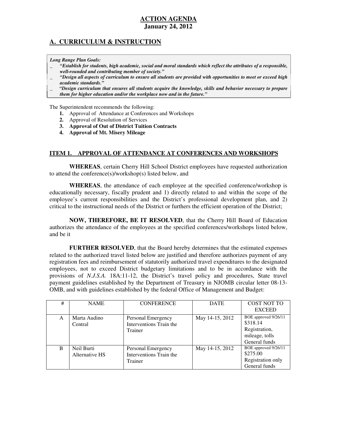#### **January 24, 2012 ACTION AGENDA**

# **A. CURRICULUM & INSTRUCTION**

 *Long Range Plan Goals:* 

- \_ *"Establish for students, high academic, social and moral standards which reflect the attributes of a responsible, well-rounded and contributing member of society."*
- \_ *"Design all aspects of curriculum to ensure all students are provided with opportunities to meet or exceed high academic standards."*
- \_ *"Design curriculum that ensures all students acquire the knowledge, skills and behavior necessary to prepare them for higher education and/or the workplace now and in the future."*

The Superintendent recommends the following:

- **1.** Approval of Attendance at Conferences and Workshops
- **2.** Approval of Resolution of Services
- **3. Approval of Out of District Tuition Contracts**
- **4. Approval of Mt. Misery Mileage**

#### **ITEM 1. APPROVAL OF ATTENDANCE AT CONFERENCES AND WORKSHOPS**

 **WHEREAS**, certain Cherry Hill School District employees have requested authorization to attend the conference(s)/workshop(s) listed below, and

 **WHEREAS**, the attendance of each employee at the specified conference/workshop is educationally necessary, fiscally prudent and 1) directly related to and within the scope of the employee's current responsibilities and the District's professional development plan, and 2) critical to the instructional needs of the District or furthers the efficient operation of the District;

 **NOW, THEREFORE, BE IT RESOLVED**, that the Cherry Hill Board of Education authorizes the attendance of the employees at the specified conferences/workshops listed below, and be it

 **FURTHER RESOLVED**, that the Board hereby determines that the estimated expenses related to the authorized travel listed below are justified and therefore authorizes payment of any registration fees and reimbursement of statutorily authorized travel expenditures to the designated employees, not to exceed District budgetary limitations and to be in accordance with the provisions of *N.J.S.A.* 18A:11-12, the District's travel policy and procedures, State travel payment guidelines established by the Department of Treasury in NJOMB circular letter 08-13 OMB, and with guidelines established by the federal Office of Management and Budget:

| # | <b>NAME</b>                  | <b>CONFERENCE</b>                                        | <b>DATE</b>     | <b>COST NOT TO</b><br><b>EXCEED</b>                                                  |
|---|------------------------------|----------------------------------------------------------|-----------------|--------------------------------------------------------------------------------------|
| A | Marta Audino<br>Central      | Personal Emergency<br>Interventions Train the<br>Trainer | May 14-15, 2012 | BOE approved 9/26/11<br>\$318.14<br>Registration,<br>mileage, tolls<br>General funds |
| B | Neil Burti<br>Alternative HS | Personal Emergency<br>Interventions Train the<br>Trainer | May 14-15, 2012 | BOE approved 9/26/11<br>\$275.00<br>Registration only<br>General funds               |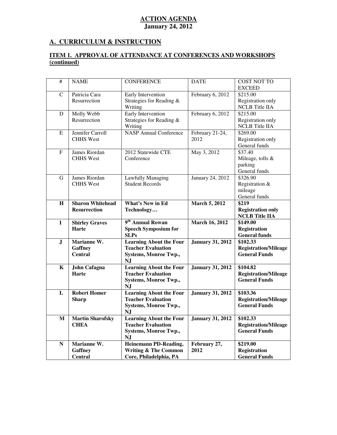# **A. CURRICULUM & INSTRUCTION**

#### **ITEM 1. APPROVAL OF ATTENDANCE AT CONFERENCES AND WORKSHOPS (continued)**

| #              | <b>NAME</b>                                           | <b>CONFERENCE</b>                                                                                                                 | <b>DATE</b>                             | <b>COST NOT TO</b><br><b>EXCEED</b>                                         |
|----------------|-------------------------------------------------------|-----------------------------------------------------------------------------------------------------------------------------------|-----------------------------------------|-----------------------------------------------------------------------------|
| $\mathcal{C}$  | Patricia Cara<br>Resurrection                         | Early Intervention<br>Strategies for Reading &<br>Writing                                                                         | February 6, 2012                        | \$215.00<br>Registration only<br><b>NCLB</b> Title IIA                      |
| D              | Molly Webb<br>Resurrection                            | Early Intervention<br>Strategies for Reading &<br>Writing                                                                         | February 6, 2012                        | \$215.00<br>Registration only<br><b>NCLB</b> Title IIA                      |
| E              | Jennifer Carroll<br><b>CHHS West</b>                  | <b>NASP Annual Conference</b>                                                                                                     | February 21-24,<br>2012                 | \$269.00<br>Registration only<br>General funds                              |
| $\mathbf{F}$   | James Riordan<br><b>CHHS</b> West                     | 2012 Statewide CTE<br>Conference                                                                                                  | May 3, 2012                             | \$37.40<br>Mileage, tolls &<br>parking<br>General funds                     |
| G              | James Riordan<br><b>CHHS</b> West                     | <b>Lawfully Managing</b><br><b>Student Records</b>                                                                                | January 24, 2012                        | \$326.90<br>Registration &<br>mileage<br>General funds                      |
| H              | <b>Sharon Whitehead</b><br><b>Resurrection</b>        | <b>What's New in Ed</b><br>Technology                                                                                             | <b>March 5, 2012</b>                    | \$219<br><b>Registration only</b><br><b>NCLB</b> Title IIA                  |
|                |                                                       |                                                                                                                                   |                                         |                                                                             |
| $\mathbf I$    | <b>Shirley Graves</b><br><b>Harte</b>                 | 9 <sup>th</sup> Annual Rowan<br><b>Speech Symposium for</b><br><b>SLPs</b>                                                        | <b>March 16, 2012</b>                   | \$149.00<br><b>Registration</b><br><b>General funds</b>                     |
| ${\bf J}$      | Marianne W.<br><b>Gaffney</b><br><b>Central</b>       | <b>Learning About the Four</b><br><b>Teacher Evaluation</b><br>Systems, Monroe Twp.,<br>NJ                                        | <b>January 31, 2012</b>                 | \$102.33<br><b>Registration/Mileage</b><br><b>General Funds</b>             |
| K              | <b>John Cafagna</b><br>Harte                          | <b>Learning About the Four</b><br><b>Teacher Evaluation</b><br><b>Systems, Monroe Twp.,</b><br><b>NJ</b>                          | <b>January 31, 2012</b>                 | \$104.82<br><b>Registration/Mileage</b><br><b>General Funds</b>             |
| $\mathbf{L}$   | <b>Robert Homer</b><br><b>Sharp</b>                   | <b>Learning About the Four</b><br><b>Teacher Evaluation</b><br><b>Systems, Monroe Twp.,</b><br><b>NJ</b>                          | <b>January 31, 2012</b>                 | \$103.36<br><b>Registration/Mileage</b><br><b>General Funds</b>             |
| M<br>${\bf N}$ | <b>Martin Sharofsky</b><br><b>CHEA</b><br>Marianne W. | <b>Learning About the Four</b><br><b>Teacher Evaluation</b><br>Systems, Monroe Twp.,<br><b>NJ</b><br><b>Heinemann PD-Reading,</b> | <b>January 31, 2012</b><br>February 27, | \$102.33<br><b>Registration/Mileage</b><br><b>General Funds</b><br>\$219.00 |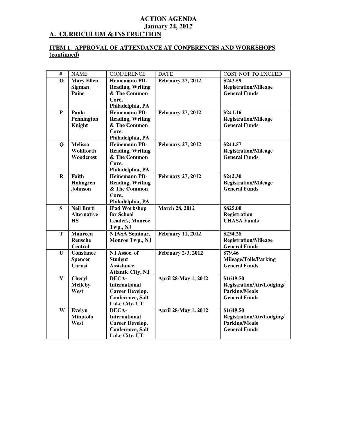#### **ACTION AGENDA January 24, 2012 A. CURRICULUM & INSTRUCTION**

#### **ITEM 1. APPROVAL OF ATTENDANCE AT CONFERENCES AND WORKSHOPS (continued)**

| $\overline{\#}$ | <b>NAME</b>                                          | <b>CONFERENCE</b>                                                                                    | <b>DATE</b>               | <b>COST NOT TO EXCEED</b>                                                              |
|-----------------|------------------------------------------------------|------------------------------------------------------------------------------------------------------|---------------------------|----------------------------------------------------------------------------------------|
| $\mathbf 0$     | <b>Mary Ellen</b><br><b>Sigman</b><br>Paine          | <b>Heinemann PD-</b><br><b>Reading, Writing</b><br>& The Common<br>Core,                             | <b>February 27, 2012</b>  | \$243.59<br><b>Registration/Mileage</b><br><b>General Funds</b>                        |
|                 |                                                      | Philadelphia, PA                                                                                     |                           |                                                                                        |
| P               | Paula<br>Pennington<br>Knight                        | <b>Heinemann PD-</b><br><b>Reading, Writing</b><br>& The Common<br>Core,<br>Philadelphia, PA         | <b>February 27, 2012</b>  | \$241.16<br><b>Registration/Mileage</b><br><b>General Funds</b>                        |
| $\mathbf Q$     | <b>Melissa</b><br>Wohlforth<br>Woodcrest             | <b>Heinemann PD-</b><br><b>Reading, Writing</b><br>& The Common<br>Core,<br>Philadelphia, PA         | <b>February 27, 2012</b>  | \$244.57<br><b>Registration/Mileage</b><br><b>General Funds</b>                        |
| $\mathbf R$     | Faith<br>Holmgren<br><b>Johnson</b>                  | <b>Heinemann PD-</b><br><b>Reading, Writing</b><br>& The Common<br>Core,<br>Philadelphia, PA         | <b>February 27, 2012</b>  | \$242.30<br><b>Registration/Mileage</b><br><b>General Funds</b>                        |
| S               | <b>Neil Burti</b><br><b>Alternative</b><br><b>HS</b> | iPad Workshop<br>for School<br><b>Leaders, Monroe</b><br>Twp., NJ                                    | <b>March 28, 2012</b>     | \$825.00<br><b>Registration</b><br><b>CHASA Funds</b>                                  |
| T               | <b>Maureen</b><br>Reusche<br>Central                 | <b>NJASA Seminar,</b><br>Monroe Twp., NJ                                                             | <b>February 11, 2012</b>  | \$234.28<br><b>Registration/Mileage</b><br><b>General Funds</b>                        |
| $\mathbf{U}$    | <b>Constance</b><br><b>Spencer</b><br>Carusi         | NJ Assoc. of<br><b>Student</b><br>Assistance,<br><b>Atlantic City, NJ</b>                            | <b>February 2-3, 2012</b> | \$79.46<br><b>Mileage/Tolls/Parking</b><br><b>General Funds</b>                        |
| $\mathbf{V}$    | <b>Cheryl</b><br><b>Melleby</b><br>West              | DECA-<br><b>International</b><br><b>Career Develop.</b><br><b>Conference</b> , Salt<br>Lake City, UT | April 28-May 1, 2012      | \$1649.50<br>Registration/Air/Lodging/<br><b>Parking/Meals</b><br><b>General Funds</b> |
| W               | Evelyn<br><b>Minutolo</b><br>West                    | DECA-<br><b>International</b><br><b>Career Develop.</b><br>Conference, Salt<br>Lake City, UT         | April 28-May 1, 2012      | \$1649.50<br>Registration/Air/Lodging/<br><b>Parking/Meals</b><br><b>General Funds</b> |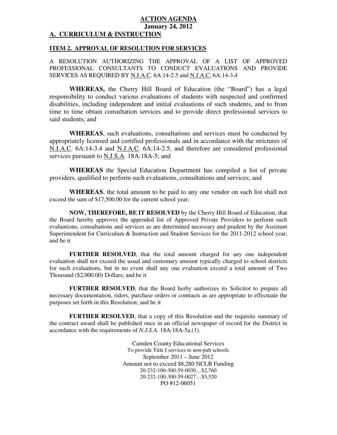#### **ACTION AGENDA January 24, 2012 A. CURRICULUM & INSTRUCTION**

#### **ITEM 2. APPROVAL OF RESOLUTION FOR SERVICES**

 A RESOLUTION AUTHORIZING THE APPROVAL OF A LIST OF APPROVED PROFESSIONAL CONSULTANTS TO CONDUCT EVALUATIONS AND PROVIDE SERVICES AS REQUIRED BY <u>N.J.A.C</u>. 6A:14-2.5 and <u>N.J.A.C.</u> 6A:14-3.4

 **WHEREAS,** the Cherry Hill Board of Education (the "Board") has a legal responsibility to conduct various evaluations of students with suspected and confirmed disabilities, including independent and initial evaluations of such students, and to from time to time obtain consultation services and to provide direct professional services to said students; and

 **WHEREAS**, such evaluations, consultations and services must be conducted by appropriately licensed and certified professionals and in accordance with the strictures of N.J.A.C. 6A:14-3.4 and N.J.A.C. 6A:14-2.5, and therefore are considered professional services pursuant to **N.J.S.A.** 18A:18A-5; and

 **WHEREAS** the Special Education Department has compiled a list of private providers, qualified to perform such evaluations, consultations and services; and

 **WHEREAS**, the total amount to be paid to any one vendor on such list shall not exceed the sum of \$17,500.00 for the current school year;

 **NOW, THEREFORE, BE IT RESOLVED** by the Cherry Hill Board of Education, that the Board hereby approves the appended list of Approved Private Providers to perform such evaluations, consultations and services as are determined necessary and prudent by the Assistant Superintendent for Curriculum & Instruction and Student Services for the 2011-2012 school year; and be it

 **FURTHER RESOLVED**, that the total amount charged for any one independent evaluation shall not exceed the usual and customary amount typically charged to school districts for such evaluations, but in no event shall any one evaluation exceed a total amount of Two Thousand (\$2,000.00) Dollars; and be it

 **FURTHER RESOLVED**, that the Board herby authorizes its Solicitor to prepare all necessary documentation, riders, purchase orders or contracts as are appropriate to effectuate the purposes set forth in this Resolution; and be it

 **FURTHER RESOLVED**, that a copy of this Resolution and the requisite summary of the contract award shall be published once in an official newspaper of record for the District in accordance with the requirements of *N.J.S.A.* 18A:18A-5a.(1).

> Camden County Educational Services To provide Title I services to non-pub schools September 2011 – June 2012 Amount not to exceed \$8,280 NCLB Funding PO #12-06051 20-232-100-300-59-0030…\$2,760 20-232-100-300-59-0027…\$5,520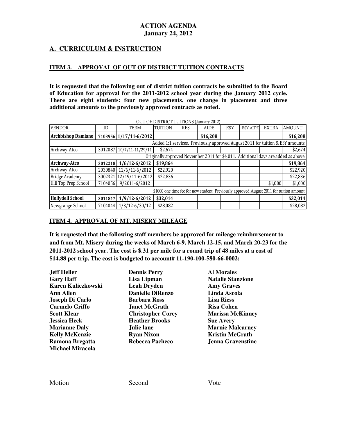# **A. CURRICULUM & INSTRUCTION**

#### **ITEM 3. APPROVAL OF OUT OF DISTRICT TUITION CONTRACTS**

 **It is requested that the following out of district tuition contracts be submitted to the Board of Education for approval for the 2011-2012 school year during the January 2012 cycle. There are eight students: four new placements, one change in placement and three additional amounts to the previously approved contracts as noted.** 

|                                                                                          |                                                                                    |                          |                | <b>OUT OF DISTRICT TUITIONS (SAIGHT ZUIZ)</b> |             |     |                 |              |                                                                                |
|------------------------------------------------------------------------------------------|------------------------------------------------------------------------------------|--------------------------|----------------|-----------------------------------------------|-------------|-----|-----------------|--------------|--------------------------------------------------------------------------------|
| <b>VENDOR</b>                                                                            | ID                                                                                 | <b>TERM</b>              | <b>TUITION</b> | <b>RES</b>                                    | <b>AIDE</b> | ESY | <b>ESY AIDE</b> | <b>EXTRA</b> | <b>AMOUNT</b>                                                                  |
| <b>Archbishop Damiano</b>                                                                |                                                                                    | 7103956 1/17/11-6/2012   |                |                                               | \$16,208    |     |                 |              | \$16,208                                                                       |
|                                                                                          |                                                                                    |                          |                |                                               |             |     |                 |              | Added 1:1 services. Previously approved August 2011 for tuition & ESY amounts. |
| Archway-Atco                                                                             |                                                                                    | 3012087 10/7/11-11/29/11 | \$2,674        |                                               |             |     |                 |              | \$2,674                                                                        |
|                                                                                          | Originally approved November 2011 for \$4,011. Additional days are added as above. |                          |                |                                               |             |     |                 |              |                                                                                |
| Archway-Atco                                                                             | 3012218                                                                            | $1/6/12 - 6/2012$        | \$19,864       |                                               |             |     |                 |              | \$19,864                                                                       |
| Archway-Atco                                                                             | 2030840                                                                            | 12/6/11-6/2012           | \$22,920       |                                               |             |     |                 |              | \$22,920                                                                       |
| <b>Bridge Academy</b>                                                                    | 3002321                                                                            | 12/19/11-6/2012          | \$22,836       |                                               |             |     |                 |              | \$22,836                                                                       |
| Hill Top Prep School                                                                     | 7104056                                                                            | 9/2011-6/2012            |                |                                               |             |     |                 | \$1,000      | \$1,000                                                                        |
| \$1000 one time fee for new student. Previously approved August 2011 for tuition amount. |                                                                                    |                          |                |                                               |             |     |                 |              |                                                                                |
| <b>Hollydell School</b>                                                                  | 3011847                                                                            | $1/9/12 - 6/2012$        | \$32,014       |                                               |             |     |                 |              | \$32,014                                                                       |
| Newgrange School                                                                         | 7104044                                                                            | $1/3/12 - 6/30/12$       | \$28,082       |                                               |             |     |                 |              | \$28,082                                                                       |

OUT OF DISTRICT TUITIONS (January 2012)

#### **ITEM 4. APPROVAL OF MT. MISERY MILEAGE**

 **It is requested that the following staff members be approved for mileage reimbursement to and from Mt. Misery during the weeks of March 6-9, March 12-15, and March 20-23 for the 2011-2012 school year. The cost is \$.31 per mile for a round trip of 48 miles at a cost of \$14.88 per trip. The cost is budgeted to account# 11-190-100-580-66-0002:** 

| Jeff Heller               | <b>Dennis Perry</b>      | <b>Al Morales</b>        |
|---------------------------|--------------------------|--------------------------|
| <b>Gary Haff</b>          | Lisa Lipman              | <b>Natalie Stanzione</b> |
| <b>Karen Kuliczkowski</b> | <b>Leah Dryden</b>       | <b>Amy Graves</b>        |
| <b>Ann Allen</b>          | <b>Danielle DiRenzo</b>  | Linda Ascola             |
| Joseph Di Carlo           | <b>Barbara Ross</b>      | <b>Lisa Riess</b>        |
| <b>Carmelo Griffo</b>     | <b>Janet McGrath</b>     | <b>Risa Cohen</b>        |
| <b>Scott Klear</b>        | <b>Christopher Corey</b> | <b>Marissa McKinney</b>  |
| <b>Jessica Heck</b>       | <b>Heather Brooks</b>    | <b>Sue Avery</b>         |
| <b>Marianne Daly</b>      | Julie lane               | <b>Marnie Malcarney</b>  |
| <b>Kelly McKenzie</b>     | <b>Ryan Nixon</b>        | <b>Kristin McGrath</b>   |
| Ramona Bregatta           | <b>Rebecca Pacheco</b>   | <b>Jenna Gravenstine</b> |
| <b>Michael Miracola</b>   |                          |                          |

Motion Second Vote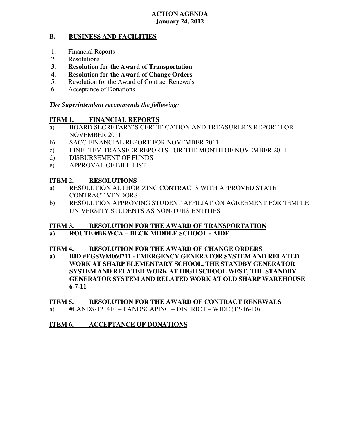#### **B. BUSINESS AND FACILITIES**

- 1. Financial Reports
- 2. Resolutions
- **3. Resolution for the Award of Transportation**
- **4. Resolution for the Award of Change Orders**
- 5. Resolution for the Award of Contract Renewals
- 6. Acceptance of Donations

## *The Superintendent recommends the following:*

#### **ITEM 1. FINANCIAL REPORTS**

- a) BOARD SECRETARY'S CERTIFICATION AND TREASURER'S REPORT FOR NOVEMBER 2011
- $b)$ SACC FINANCIAL REPORT FOR NOVEMBER 2011
- c) LINE ITEM TRANSFER REPORTS FOR THE MONTH OF NOVEMBER 2011
- d) DISBURSEMENT OF FUNDS
- e) APPROVAL OF BILL LIST

#### **ITEM 2. RESOLUTIONS**

- a) RESOLUTION AUTHORIZING CONTRACTS WITH APPROVED STATE CONTRACT VENDORS
- b) RESOLUTION APPROVING STUDENT AFFILIATION AGREEMENT FOR TEMPLE UNIVERSITY STUDENTS AS NON-TUHS ENTITIES

#### **ITEM 3. RESOLUTION FOR THE AWARD OF TRANSPORTATION**

#### **a) ROUTE #BKWCA – BECK MIDDLE SCHOOL - AIDE**

#### **ITEM 4. RESOLUTION FOR THE AWARD OF CHANGE ORDERS**

**a**)  **WORK AT SHARP ELEMENTARY SCHOOL, THE STANDBY GENERATOR SYSTEM AND RELATED WORK AT HIGH SCHOOL WEST, THE STANDBY GENERATOR SYSTEM AND RELATED WORK AT OLD SHARP WAREHOUSE BID #EGSWM060711 - EMERGENCY GENERATOR SYSTEM AND RELATED 6-7-11** 

#### **ITEM 5. RESOLUTION FOR THE AWARD OF CONTRACT RENEWALS**

a) #LANDS-121410 – LANDSCAPING – DISTRICT – WIDE (12-16-10)

#### **ITEM 6. INCCEPTANCE OF DONATIONS**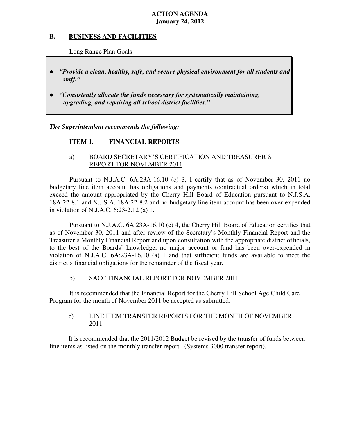#### **B. B. BUSINESS AND FACILITIES**

Long Range Plan Goals

- *"Provide a clean, healthy, safe, and secure physical environment for all students and staff."*
- *upgrading, and repairing all school district facilities."*  ● *"Consistently allocate the funds necessary for systematically maintaining,*

 *The Superintendent recommends the following:* 

#### **ITEM 1. FINANCIAL REPORTS**

# a) BOARD SECRETARY'S CERTIFICATION AND TREASURER'S REPORT FOR NOVEMBER 2011

 Pursuant to N.J.A.C. 6A:23A-16.10 (c) 3, I certify that as of November 30, 2011 no budgetary line item account has obligations and payments (contractual orders) which in total exceed the amount appropriated by the Cherry Hill Board of Education pursuant to N.J.S.A. 18A:22-8.1 and N.J.S.A. 18A:22-8.2 and no budgetary line item account has been over-expended in violation of N.J.A.C. 6:23-2.12 (a) 1.

 Pursuant to N.J.A.C. 6A:23A-16.10 (c) 4, the Cherry Hill Board of Education certifies that as of November 30, 2011 and after review of the Secretary's Monthly Financial Report and the Treasurer's Monthly Financial Report and upon consultation with the appropriate district officials, to the best of the Boards' knowledge, no major account or fund has been over-expended in violation of N.J.A.C. 6A:23A-16.10 (a) 1 and that sufficient funds are available to meet the district's financial obligations for the remainder of the fiscal year.

#### $b)$ b) SACC FINANCIAL REPORT FOR NOVEMBER 2011

 It is recommended that the Financial Report for the Cherry Hill School Age Child Care Program for the month of November 2011 be accepted as submitted.

#### $\mathbf{c})$ LINE ITEM TRANSFER REPORTS FOR THE MONTH OF NOVEMBER 2011

 It is recommended that the 2011/2012 Budget be revised by the transfer of funds between line items as listed on the monthly transfer report. (Systems 3000 transfer report).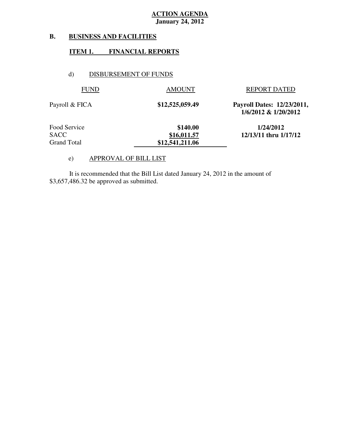#### **B. B. BUSINESS AND FACILITIES**

#### **ITEM 1. FINANCIAL REPORTS**

#### d) DISBURSEMENT OF FUNDS

| <b>FUND</b>        | <b>AMOUNT</b>   | <b>REPORT DATED</b>                                |
|--------------------|-----------------|----------------------------------------------------|
| Payroll & FICA     | \$12,525,059.49 | Payroll Dates: 12/23/2011,<br>1/6/2012 & 1/20/2012 |
| Food Service       | \$140.00        | 1/24/2012                                          |
| <b>SACC</b>        | \$16,011.57     | 12/13/11 thru 1/17/12                              |
| <b>Grand Total</b> | \$12,541,211.06 |                                                    |
|                    |                 |                                                    |

#### e) APPROVAL OF BILL LIST

 \$3,657,486.32 be approved as submitted. It is recommended that the Bill List dated January 24, 2012 in the amount of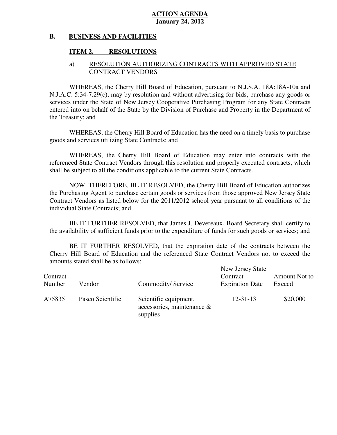#### **B. BUSINESS AND FACILITIES**

# **ITEM 2. RESOLUTIONS**

# a) RESOLUTION AUTHORIZING CONTRACTS WITH APPROVED STATE CONTRACT VENDORS

 WHEREAS, the Cherry Hill Board of Education, pursuant to N.J.S.A. 18A:18A-10a and N.J.A.C. 5:34-7.29(c), may by resolution and without advertising for bids, purchase any goods or services under the State of New Jersey Cooperative Purchasing Program for any State Contracts entered into on behalf of the State by the Division of Purchase and Property in the Department of the Treasury; and

 WHEREAS, the Cherry Hill Board of Education has the need on a timely basis to purchase goods and services utilizing State Contracts; and

 WHEREAS, the Cherry Hill Board of Education may enter into contracts with the referenced State Contract Vendors through this resolution and properly executed contracts, which shall be subject to all the conditions applicable to the current State Contracts.

 NOW, THEREFORE, BE IT RESOLVED, the Cherry Hill Board of Education authorizes the Purchasing Agent to purchase certain goods or services from those approved New Jersey State Contract Vendors as listed below for the 2011/2012 school year pursuant to all conditions of the individual State Contracts; and

 the availability of sufficient funds prior to the expenditure of funds for such goods or services; and BE IT FURTHER RESOLVED, that James J. Devereaux, Board Secretary shall certify to

 Cherry Hill Board of Education and the referenced State Contract Vendors not to exceed the amounts stated shall be as follows: BE IT FURTHER RESOLVED, that the expiration date of the contracts between the

| Contract<br>Number | Vendor           | Commodity/Service                                               | New Jersey State<br>Contract<br><b>Expiration Date</b> | Amount Not to<br>Exceed |
|--------------------|------------------|-----------------------------------------------------------------|--------------------------------------------------------|-------------------------|
| A75835             | Pasco Scientific | Scientific equipment,<br>accessories, maintenance &<br>supplies | $12 - 31 - 13$                                         | \$20,000                |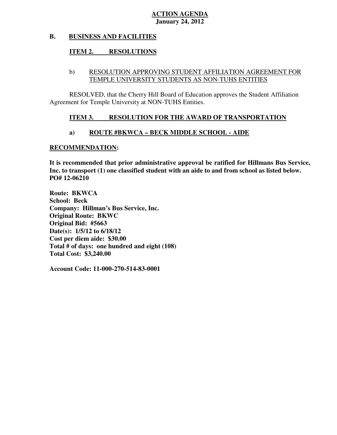#### **B. BUSINESS AND FACILITIES**

#### **ITEM 2. RESOLUTIONS**

## b) RESOLUTION APPROVING STUDENT AFFILIATION AGREEMENT FOR TEMPLE UNIVERSITY STUDENTS AS NON-TUHS ENTITIES

 RESOLVED, that the Cherry Hill Board of Education approves the Student Affiliation Agreement for Temple University at NON-TUHS Entities.

#### **ITEM 3. RESOLUTION FOR THE AWARD OF TRANSPORTATION**

#### **a) ROUTE #BKWCA – BECK MIDDLE SCHOOL - AIDE**

#### **RECOMMENDATION:**

 **It is recommended that prior administrative approval be ratified for Hillmans Bus Service, Inc. to transport (1) one classified student with an aide to and from school as listed below. PO# 12-06210** 

 **Route: BKWCA School: Beck Company: Hillman's Bus Service, Inc. Original Route: BKWC Original Bid: #5663 Date(s): 1/5/12 to 6/18/12 Cost per diem aide: \$30.00 Total # of days: one hundred and eight (108) Total Cost: \$3,240.00** 

 **Account Code: 11-000-270-514-83-0001**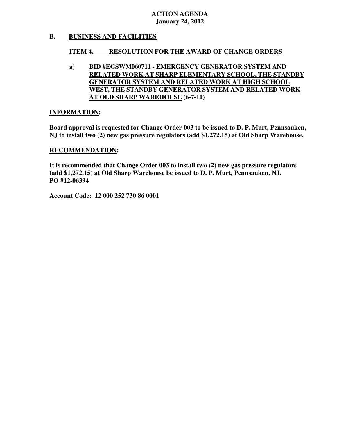#### **B. BUSINESS AND FACILITIES**

#### **ITEM 4. RESOLUTION FOR THE AWARD OF CHANGE ORDERS**

 **RELATED WORK AT SHARP ELEMENTARY SCHOOL, THE STANDBY GENERATOR SYSTEM AND RELATED WORK AT HIGH SCHOOL WEST, THE STANDBY GENERATOR SYSTEM AND RELATED WORK AT OLD SHARP WAREHOUSE (6-7-11) a) BID #EGSWM060711 - EMERGENCY GENERATOR SYSTEM AND** 

#### **INFORMATION:**

 **Board approval is requested for Change Order 003 to be issued to D. P. Murt, Pennsauken, NJ to install two (2) new gas pressure regulators (add \$1,272.15) at Old Sharp Warehouse.** 

#### **RECOMMENDATION:**

 **It is recommended that Change Order 003 to install two (2) new gas pressure regulators (add \$1,272.15) at Old Sharp Warehouse be issued to D. P. Murt, Pennsauken, NJ. PO #12-06394** 

 **Account Code: 12 000 252 730 86 0001**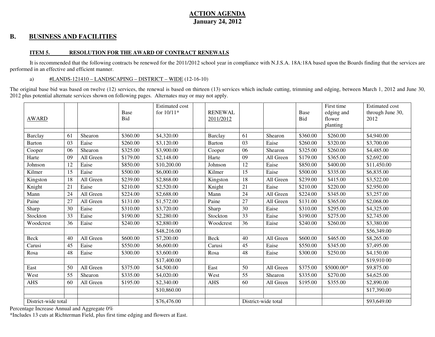#### **B. BUSINESS AND FACILITIES**

#### **ITEM 5. RESOLUTION FOR THE AWARD OF CONTRACT RENEWALS**

It is recommended that the following contracts be renewed for the 2011/2012 school year in compliance with N.J.S.A. 18A:18A based upon the Boards finding that the services are performed in an effective and efficient manner.

#### a) #LANDS-121410 – LANDSCAPING – DISTRICT – WIDE (12-16-10)

The original base bid was based on twelve (12) services, the renewal is based on thirteen (13) services which include cutting, trimming and edging, between March 1, 2012 and June 30, 2012 plus potential alternate services shown on following pages. Alternates may or may not apply.

| <b>AWARD</b>        |    |           | Base<br>Bid | <b>Estimated cost</b><br>for 10/11* | <b>RENEWAL</b><br>2011/2012 |                 |                     | Base<br><b>Bid</b> | First time<br>edging and<br>flower<br>planting | <b>Estimated cost</b><br>through June 30,<br>2012 |
|---------------------|----|-----------|-------------|-------------------------------------|-----------------------------|-----------------|---------------------|--------------------|------------------------------------------------|---------------------------------------------------|
| Barclay             | 61 | Shearon   | \$360.00    | \$4,320.00                          | Barclay                     | 61              | Shearon             | \$360.00           | \$260.00                                       | \$4,940.00                                        |
| <b>Barton</b>       | 03 | Eaise     | \$260.00    | \$3,120.00                          | <b>Barton</b>               | $\overline{03}$ | Eaise               | \$260.00           | \$320.00                                       | \$3,700.00                                        |
| Cooper              | 06 | Shearon   | \$325.00    | \$3,900.00                          | Cooper                      | 06              | Shearon             | \$325.00           | $\overline{$}260.00$                           | \$4,485.00                                        |
| Harte               | 09 | All Green | \$179.00    | \$2,148.00                          | Harte                       | 09              | All Green           | \$179.00           | \$365.00                                       | \$2,692.00                                        |
| Johnson             | 12 | Eaise     | \$850.00    | \$10,200.00                         | Johnson                     | 12              | Eaise               | \$850.00           | \$400.00                                       | \$11,450.00                                       |
| Kilmer              | 15 | Eaise     | \$500.00    | \$6,000.00                          | Kilmer                      | $\overline{15}$ | Eaise               | \$500.00           | \$335.00                                       | \$6,835.00                                        |
| Kingston            | 18 | All Green | \$239.00    | \$2,868.00                          | Kingston                    | 18              | All Green           | \$239.00           | \$415.00                                       | \$3,522.00                                        |
| Knight              | 21 | Eaise     | \$210.00    | \$2,520.00                          | Knight                      | 21              | Eaise               | \$210.00           | \$220.00                                       | \$2,950.00                                        |
| Mann                | 24 | All Green | \$224.00    | \$2,688.00                          | Mann                        | 24              | All Green           | \$224.00           | \$345.00                                       | \$3,257.00                                        |
| Paine               | 27 | All Green | \$131.00    | \$1,572.00                          | Paine                       | 27              | All Green           | \$131.00           | \$365.00                                       | \$2,068.00                                        |
| Sharp               | 30 | Eaise     | \$310.00    | \$3,720.00                          | Sharp                       | 30              | Eaise               | \$310.00           | \$295.00                                       | \$4,325.00                                        |
| Stockton            | 33 | Eaise     | \$190.00    | \$2,280.00                          | Stockton                    | 33              | Eaise               | \$190.00           | \$275.00                                       | \$2,745.00                                        |
| Woodcrest           | 36 | Eaise     | \$240.00    | \$2,880.00                          | Woodcrest                   | 36              | Eaise               | \$240.00           | \$260.00                                       | \$3,380.00                                        |
|                     |    |           |             | \$48,216.00                         |                             |                 |                     |                    |                                                | \$56,349.00                                       |
| <b>Beck</b>         | 40 | All Green | \$600.00    | \$7,200.00                          | Beck                        | 40              | All Green           | \$600.00           | \$465.00                                       | \$8,265.00                                        |
| Carusi              | 45 | Eaise     | \$550.00    | \$6,600.00                          | Carusi                      | 45              | Eaise               | \$550.00           | \$345.00                                       | \$7,495.00                                        |
| Rosa                | 48 | Eaise     | \$300.00    | \$3,600.00                          | Rosa                        | 48              | Eaise               | \$300.00           | \$250.00                                       | \$4,150.00                                        |
|                     |    |           |             | \$17,400.00                         |                             |                 |                     |                    |                                                | \$19,910 00                                       |
| East                | 50 | All Green | \$375.00    | \$4,500.00                          | East                        | 50              | All Green           | \$375.00           | \$5000.00*                                     | \$9,875.00                                        |
| West                | 55 | Shearon   | \$335.00    | \$4,020.00                          | West                        | 55              | Shearon             | \$335.00           | \$270.00                                       | \$4,625.00                                        |
| <b>AHS</b>          | 60 | All Green | \$195.00    | \$2,340.00                          | <b>AHS</b>                  | 60              | All Green           | \$195.00           | \$355.00                                       | \$2,890.00                                        |
|                     |    |           |             | \$10,860.00                         |                             |                 |                     |                    |                                                | \$17,390.00                                       |
| District-wide total |    |           |             | \$76,476.00                         |                             |                 | District-wide total |                    |                                                | \$93,649.00                                       |

Percentage Increase Annual and Aggregate 0%

\*Includes 13 cuts at Richterman Field, plus first time edging and flowers at East.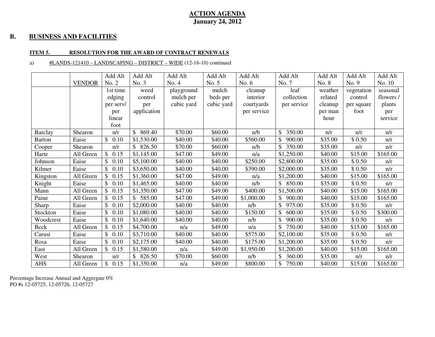#### **B. BUSINESS AND FACILITIES**

#### **ITEM 5. RESOLUTION FOR THE AWARD OF CONTRACT RENEWALS**

#### a) #LANDS-121410 – LANDSCAPING – DISTRICT – WIDE (12-16-10) continued

|                |               | Add Alt              | Add Alt      | Add Alt    | Add Alt    | Add Alt     | Add Alt      | Add Alt | Add Alt         | Add Alt   |
|----------------|---------------|----------------------|--------------|------------|------------|-------------|--------------|---------|-----------------|-----------|
|                | <b>VENDOR</b> | No. 2                | No. 3        | No. 4      | No. 5      | No. $6$     | No. 7        | No. 8   | No. 9           | No. 10    |
|                |               | 1st time             | weed         | playground | mulch      | cleanup     | leaf         | weather | vegetation      | seasonal  |
|                |               | edging               | control      | mulch per  | beds per   | interior    | collection   | related | control         | flowers / |
|                |               | per serv/            | per          | cubic yard | cubic yard | courtyards  | per service  | cleanup | per square      | plants    |
|                |               | per                  | application  |            |            | per service |              | per man | foot            | per       |
|                |               | linear               |              |            |            |             |              | hour    |                 | service   |
|                |               | foot                 |              |            |            |             |              |         |                 |           |
| <b>Barclay</b> | Shearon       | n/r                  | 869.40       | \$70.00    | \$60.00    | n/b         | 350.00<br>\$ | n/r     | n/r             | n/r       |
| <b>Barton</b>  | Eaise         | \$0.10               | \$1,530.00   | \$40.00    | \$40.00    | \$560.00    | 900.00<br>\$ | \$35.00 | $\bar{\$}$ 0.50 | n/r       |
| Cooper         | Shearon       | n/r                  | 826.50<br>\$ | \$70.00    | \$60.00    | n/b         | 350.00       | \$35.00 | n/r             | n/r       |
| Harte          | All Green     | $\mathbb{S}$<br>0.15 | \$1,145.00   | \$47.00    | \$49.00    | n/a         | \$1,250.00   | \$40.00 | \$15.00         | \$165.00  |
| Johnson        | Eaise         | \$<br>0.10           | \$5,100.00   | \$40.00    | \$40.00    | \$250.00    | \$2,800.00   | \$35.00 | \$0.50          | n/r       |
| Kilmer         | Eaise         | $\mathbb{S}$<br>0.10 | \$3,650.00   | \$40.00    | \$40.00    | \$390.00    | \$2,000.00   | \$35.00 | \$0.50          | n/r       |
| Kingston       | All Green     | $\mathbb{S}$<br>0.15 | \$1,360.00   | \$47.00    | \$49.00    | n/a         | \$1,200.00   | \$40.00 | \$15.00         | \$165.00  |
| Knight         | Eaise         | $\mathbb{S}$<br>0.10 | \$1,465.00   | \$40.00    | \$40.00    | n/b         | 850.00       | \$35.00 | \$0.50          | n/r       |
| Mann           | All Green     | 0.15                 | \$1,350.00   | \$47.00    | \$49.00    | \$400.00    | \$1,500.00   | \$40.00 | \$15.00         | \$165.00  |
| Paine          | All Green     | 0.15<br>\$           | 585.00       | \$47.00    | \$49.00    | \$1,000.00  | 900.00       | \$40.00 | \$15.00         | \$165.00  |
| Sharp          | Eaise         | $\mathbb{S}$<br>0.10 | \$2,000.00   | \$40.00    | \$40.00    | n/b         | 975.00       | \$35.00 | \$0.50          | n/r       |
| Stockton       | Eaise         | $\mathbb{S}$<br>0.10 | \$1,080.00   | \$40.00    | \$40.00    | \$150.00    | \$<br>600.00 | \$35.00 | \$0.50          | \$300.00  |
| Woodcrest      | Eaise         | $\mathbb{S}$<br>0.10 | \$1,640.00   | \$40.00    | \$40.00    | n/b         | \$<br>900.00 | \$35.00 | \$0.50          | n/r       |
| Beck           | All Green     | \$<br>0.15           | \$4,700.00   | n/a        | \$49.00    | n/a         | 750.00       | \$40.00 | \$15.00         | \$165.00  |
| Carusi         | Eaise         | $\mathbb{S}$<br>0.10 | \$3,710.00   | \$40.00    | \$40.00    | \$575.00    | \$2,100.00   | \$35.00 | \$0.50          | n/r       |
| Rosa           | Eaise         | $\mathbb{S}$<br>0.10 | \$2,175.00   | \$40.00    | \$40.00    | \$175.00    | \$1,200.00   | \$35.00 | \$0.50          | n/r       |
| East           | All Green     | $\mathbb{S}$<br>0.15 | \$1,580.00   | n/a        | \$49.00    | \$1,950.00  | \$1,200.00   | \$40.00 | \$15.00         | \$165.00  |
| West           | Shearon       | n/r                  | 826.50       | \$70.00    | \$60.00    | n/b         | \$<br>360.00 | \$35.00 | n/r             | n/r       |
| AHS            | All Green     | $\mathbb{S}$<br>0.15 | \$1,350.00   | n/a        | \$49.00    | \$800.00    | 750.00       | \$40.00 | \$15.00         | \$165.00  |

Percentage Increase Annual and Aggregate 0% PO #s 12-05725, 12-05726, 12-05727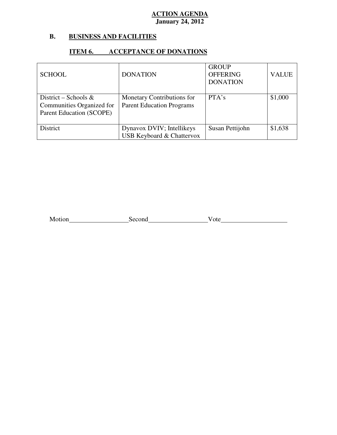#### **B. B. BUSINESS AND FACILITIES**

# **ITEM 6. ACCEPTANCE OF DONATIONS**

| <b>SCHOOL</b>                                                                 | <b>DONATION</b>                                                   | <b>GROUP</b><br><b>OFFERING</b><br><b>DONATION</b> | <b>VALUE</b> |
|-------------------------------------------------------------------------------|-------------------------------------------------------------------|----------------------------------------------------|--------------|
| District – Schools &<br>Communities Organized for<br>Parent Education (SCOPE) | Monetary Contributions for<br><b>Parent Education Programs</b>    | PTA's                                              | \$1,000      |
| District                                                                      | Dynavox DVIV; Intellikeys<br><b>USB Keyboard &amp; Chattervox</b> | Susan Pettijohn                                    | \$1,638      |

Motion Second Vote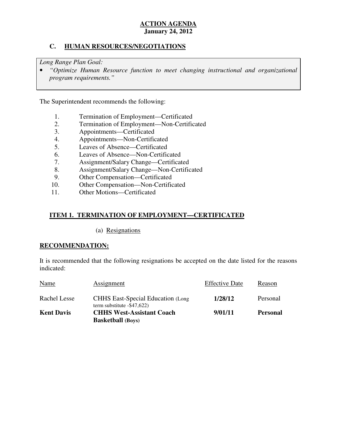# **C. HUMAN RESOURCES/NEGOTIATIONS**

 *Long Range Plan Goal:* 

**•** "Optimize Human Resource function to meet changing instructional and organizational *program requirements."* 

The Superintendent recommends the following:

- 1. Termination of Employment—Certificated<br>2. Termination of Employment—Non-Certific
- 2. Termination of Employment—Non-Certificated
- 3. Appointments—Certificated
- 4. Appointments—Non-Certificated
- 5. Leaves of Absence—Certificated
- 6. Leaves of Absence—Non-Certificated
- 7. Assignment/Salary Change—Certificated
- 8. Assignment/Salary Change—Non-Certificated
- 9. Other Compensation—Certificated
- 10. 10. Other Compensation—Non-Certificated
- $11.$ Other Motions—Certificated

# **ITEM 1. TERMINATION OF EMPLOYMENT—CERTIFICATED**

(a) Resignations

#### **RECOMMENDATION:**

 It is recommended that the following resignations be accepted on the date listed for the reasons indicated:

|                   | <b>Basketball</b> (Boys)                                                   |                       |                 |
|-------------------|----------------------------------------------------------------------------|-----------------------|-----------------|
| <b>Kent Davis</b> | <b>CHHS West-Assistant Coach</b>                                           | 9/01/11               | <b>Personal</b> |
| Rachel Lesse      | <b>CHHS</b> East-Special Education (Long)<br>term substitute $-$ \$47,622) | 1/28/12               | Personal        |
| Name              | Assignment                                                                 | <b>Effective Date</b> | Reason          |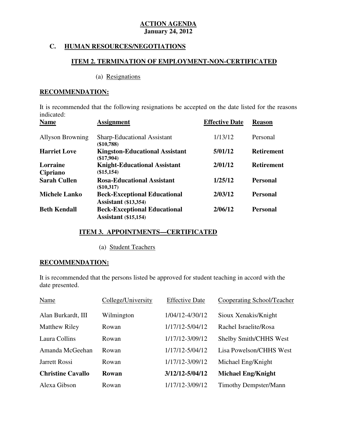# **C. HUMAN RESOURCES/NEGOTIATIONS**

## **ITEM 2. TERMINATION OF EMPLOYMENT-NON-CERTIFICATED**

#### (a) Resignations

# **RECOMMENDATION:**

 It is recommended that the following resignations be accepted on the date listed for the reasons indicated:<br>Name

| <b>Name</b>             | <b>Assignment</b>                                                  | <b>Effective Date</b> | <b>Reason</b>     |
|-------------------------|--------------------------------------------------------------------|-----------------------|-------------------|
| <b>Allyson Browning</b> | <b>Sharp-Educational Assistant</b><br>$(\$10,788)$                 | 1/13/12               | Personal          |
| <b>Harriet Love</b>     | <b>Kingston-Educational Assistant</b><br>$(\$17,904)$              | 5/01/12               | <b>Retirement</b> |
| Lorraine<br>Cipriano    | <b>Knight-Educational Assistant</b><br>(\$15,154)                  | 2/01/12               | <b>Retirement</b> |
| <b>Sarah Cullen</b>     | <b>Rosa-Educational Assistant</b><br>(\$10,317)                    | 1/25/12               | <b>Personal</b>   |
| <b>Michele Lanko</b>    | <b>Beck-Exceptional Educational</b><br><b>Assistant</b> (\$13,354) | 2/03/12               | <b>Personal</b>   |
| <b>Beth Kendall</b>     | <b>Beck-Exceptional Educational</b><br><b>Assistant</b> (\$15,154) | 2/06/12               | <b>Personal</b>   |

#### **ITEM 3. APPOINTMENTS—CERTIFICATED**

#### (a) Student Teachers

#### **RECOMMENDATION:**

 It is recommended that the persons listed be approved for student teaching in accord with the date presented.

| Name                     | College/University | <b>Effective Date</b> | <b>Cooperating School/Teacher</b> |
|--------------------------|--------------------|-----------------------|-----------------------------------|
| Alan Burkardt, III       | Wilmington         | 1/04/12-4/30/12       | Sioux Xenakis/Knight              |
| <b>Matthew Riley</b>     | Rowan              | 1/17/12-5/04/12       | Rachel Israelite/Rosa             |
| Laura Collins            | Rowan              | 1/17/12-3/09/12       | <b>Shelby Smith/CHHS West</b>     |
| Amanda McGeehan          | Rowan              | 1/17/12-5/04/12       | Lisa Powelson/CHHS West           |
| Jarrett Rossi            | Rowan              | 1/17/12-3/09/12       | Michael Eng/Knight                |
| <b>Christine Cavallo</b> | Rowan              | 3/12/12-5/04/12       | <b>Michael Eng/Knight</b>         |
| Alexa Gibson             | Rowan              | 1/17/12-3/09/12       | <b>Timothy Dempster/Mann</b>      |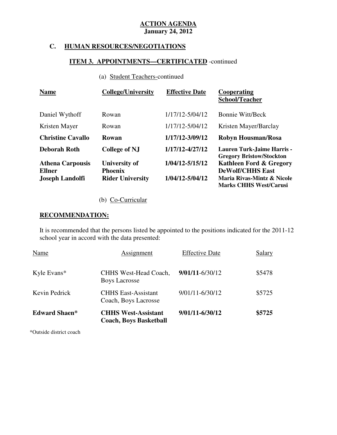# **C. HUMAN RESOURCES/NEGOTIATIONS**

# **ITEM 3. APPOINTMENTS—CERTIFICATED** -continued

# (a) Student Teachers-continued

| <b>Name</b>                              | <b>College/University</b>              | <b>Effective Date</b> | Cooperating<br><b>School/Teacher</b>                                 |
|------------------------------------------|----------------------------------------|-----------------------|----------------------------------------------------------------------|
| Daniel Wythoff                           | Rowan                                  | 1/17/12-5/04/12       | <b>Bonnie Witt/Beck</b>                                              |
| Kristen Mayer                            | Rowan                                  | 1/17/12-5/04/12       | Kristen Mayer/Barclay                                                |
| <b>Christine Cavallo</b>                 | Rowan                                  | 1/17/12-3/09/12       | <b>Robyn Housman/Rosa</b>                                            |
| <b>Deborah Roth</b>                      | <b>College of NJ</b>                   | 1/17/12-4/27/12       | <b>Lauren Turk-Jaime Harris -</b><br><b>Gregory Bristow/Stockton</b> |
| <b>Athena Carpousis</b><br><b>Ellner</b> | <b>University of</b><br><b>Phoenix</b> | 1/04/12-5/15/12       | <b>Kathleen Ford &amp; Gregory</b><br><b>DeWolf/CHHS East</b>        |
| <b>Joseph Landolfi</b>                   | <b>Rider University</b>                | 1/04/12-5/04/12       | Maria Rivas-Mintz & Nicole<br><b>Marks CHHS West/Carusi</b>          |

# (b) Co-Curricular

#### **RECOMMENDATION:**

 It is recommended that the persons listed be appointed to the positions indicated for the 2011-12 school year in accord with the data presented:

| <b>Edward Shaen*</b> | <b>CHHS West-Assistant</b><br><b>Coach, Boys Basketball</b> | $9/01/11 - 6/30/12$   | \$5725 |
|----------------------|-------------------------------------------------------------|-----------------------|--------|
| Kevin Pedrick        | <b>CHHS East-Assistant</b><br>Coach, Boys Lacrosse          | 9/01/11-6/30/12       | \$5725 |
| Kyle Evans*          | CHHS West-Head Coach,<br><b>Boys Lacrosse</b>               | $9/01/11 - 6/30/12$   | \$5478 |
| Name                 | Assignment                                                  | <b>Effective Date</b> | Salary |

\*Outside district coach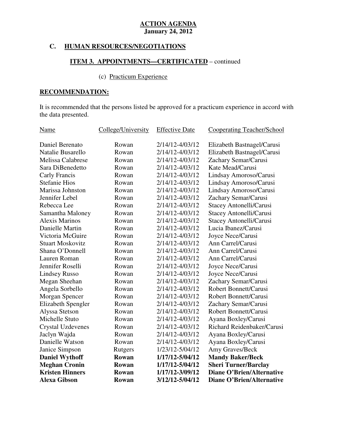# **C. HUMAN RESOURCES/NEGOTIATIONS**

# **ITEM 3. APPOINTMENTS—CERTIFICATED** – continued

# (c) Practicum Experience

# **RECOMMENDATION:**

 It is recommended that the persons listed be approved for a practicum experience in accord with the data presented.

| <b>Name</b>              | College/University | <b>Effective Date</b> | <b>Cooperating Teacher/School</b> |
|--------------------------|--------------------|-----------------------|-----------------------------------|
| Daniel Berenato          | Rowan              | 2/14/12-4/03/12       | Elizabeth Bastnagel/Carusi        |
| Natalie Busarello        | Rowan              | 2/14/12-4/03/12       | Elizabeth Bastnagel/Carusi        |
| <b>Melissa Calabrese</b> | Rowan              | 2/14/12-4/03/12       | Zachary Semar/Carusi              |
| Sara DiBenedetto         | Rowan              | 2/14/12-4/03/12       | Kate Mead/Carusi                  |
| Carly Francis            | Rowan              | 2/14/12-4/03/12       | Lindsay Amoroso/Carusi            |
| <b>Stefanie Hios</b>     | Rowan              | 2/14/12-4/03/12       | Lindsay Amoroso/Carusi            |
| Marissa Johnston         | Rowan              | 2/14/12-4/03/12       | Lindsay Amoroso/Carusi            |
| Jennifer Lebel           | Rowan              | 2/14/12-4/03/12       | Zachary Semar/Carusi              |
| Rebecca Lee              | Rowan              | 2/14/12-4/03/12       | Stacey Antonelli/Carusi           |
| Samantha Maloney         | Rowan              | 2/14/12-4/03/12       | Stacey Antonelli/Carusi           |
| <b>Alexis Marinos</b>    | Rowan              | 2/14/12-4/03/12       | Stacey Antonelli/Carusi           |
| Danielle Martin          | Rowan              | 2/14/12-4/03/12       | Lucia Ibanez/Carusi               |
| Victoria McGuire         | Rowan              | 2/14/12-4/03/12       | Joyce Nece/Carusi                 |
| <b>Stuart Moskovitz</b>  | Rowan              | 2/14/12-4/03/12       | Ann Carrel/Carusi                 |
| Shana O'Donnell          | Rowan              | 2/14/12-4/03/12       | Ann Carrel/Carusi                 |
| Lauren Roman             | Rowan              | 2/14/12-4/03/12       | Ann Carrel/Carusi                 |
| Jennifer Roselli         | Rowan              | 2/14/12-4/03/12       | Joyce Nece/Carusi                 |
| <b>Lindsey Russo</b>     | Rowan              | 2/14/12-4/03/12       | Joyce Nece/Carusi                 |
| Megan Sheehan            | Rowan              | 2/14/12-4/03/12       | Zachary Semar/Carusi              |
| Angela Sorbello          | Rowan              | 2/14/12-4/03/12       | Robert Bonnett/Carusi             |
| Morgan Spencer           | Rowan              | 2/14/12-4/03/12       | Robert Bonnett/Carusi             |
| Elizabeth Spengler       | Rowan              | 2/14/12-4/03/12       | Zachary Semar/Carusi              |
| Alyssa Stetson           | Rowan              | 2/14/12-4/03/12       | <b>Robert Bonnett/Carusi</b>      |
| Michelle Stuto           | Rowan              | 2/14/12-4/03/12       | Ayana Boxley/Carusi               |
| <b>Crystal Uzdevenes</b> | Rowan              | 2/14/12-4/03/12       | Richard Reidenbaker/Carusi        |
| Jaclyn Wajda             | Rowan              | 2/14/12-4/03/12       | Ayana Boxley/Carusi               |
| Danielle Watson          | Rowan              | 2/14/12-4/03/12       | Ayana Boxley/Carusi               |
| Janice Simpson           | Rutgers            | 1/23/12-5/04/12       | Amy Graves/Beck                   |
| <b>Daniel Wythoff</b>    | Rowan              | 1/17/12-5/04/12       | <b>Mandy Baker/Beck</b>           |
| <b>Meghan Cronin</b>     | Rowan              | 1/17/12-5/04/12       | <b>Sheri Turner/Barclay</b>       |
| <b>Kristen Hinners</b>   | Rowan              | 1/17/12-3/09/12       | <b>Diane O'Brien/Alternative</b>  |
| <b>Alexa Gibson</b>      | Rowan              | 3/12/12-5/04/12       | <b>Diane O'Brien/Alternative</b>  |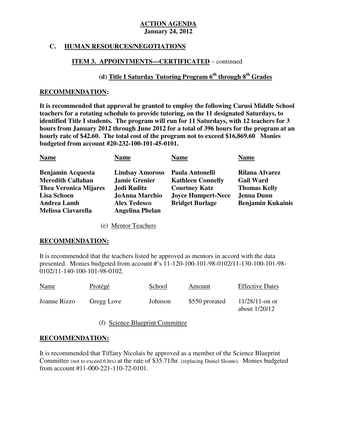# **C. HUMAN RESOURCES/NEGOTIATIONS**

# **ITEM 3. APPOINTMENTS—CERTIFICATED** – continued

# **(d) Title I Saturday Tutoring Program 6<sup>th</sup> through 8<sup>th</sup> Grades**

#### **RECOMMENDATION:**

 **It is recommended that approval be granted to employ the following Carusi Middle School teachers for a rotating schedule to provide tutoring, on the 11 designated Saturdays, to identified Title I students. The program will run for 11 Saturdays, with 12 teachers for 3 hours from January 2012 through June 2012 for a total of 396 hours for the program at an hourly rate of \$42.60. The total cost of the program not to exceed \$16,869.60 Monies budgeted from account #20-232-100-101-45-0101.** 

| <b>Name</b>                  | <b>Name</b>            | <b>Name</b>               | <b>Name</b>              |
|------------------------------|------------------------|---------------------------|--------------------------|
| <b>Benjamin Acquesta</b>     | <b>Lindsay Amoroso</b> | Paula Antonelli           | Rilana Alvarez           |
| <b>Meredith Callahan</b>     | <b>Jamie Grenier</b>   | <b>Kathleen Connelly</b>  | <b>Gail Ward</b>         |
| <b>Thea Veronica Mijares</b> | Jodi Raditz            | <b>Courtney Katz</b>      | <b>Thomas Kelly</b>      |
| <b>Lisa Schoen</b>           | <b>JoAnna Marchio</b>  | <b>Joyce Humpert-Nece</b> | <b>Jenna Dunn</b>        |
| <b>Andrea Lamb</b>           | <b>Alex Tedesco</b>    | <b>Bridget Burlage</b>    | <b>Benjamin Kukainis</b> |
| <b>Melissa Ciavarella</b>    | <b>Angelina Phelan</b> |                           |                          |

(e) Mentor Teachers

#### **RECOMMENDATION:**

 It is recommended that the teachers listed be approved as mentors in accord with the data presented. Monies budgeted from account #'s 11-120-100-101-98-0102/11-130-100-101-98 0102/11-140-100-101-98-0102.

| <b>Name</b>  | Protégé    | School  | Amount         | <b>Effective Dates</b>               |
|--------------|------------|---------|----------------|--------------------------------------|
| Joanne Rizzo | Gregg Love | Johnson | \$550 prorated | $11/28/11$ -on or<br>about $1/20/12$ |

(f) Science Blueprint Committee

# **RECOMMENDATION:**

 It is recommended that Tiffany Nicolais be approved as a member of the Science Blueprint Committee (not to exceed 6 hrs) at the rate of \$35.71/hr. (replacing Daniel Sloane). Monies budgeted from account #11-000-221-110-72-0101.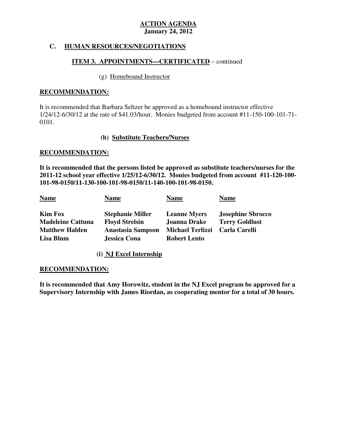# **C. HUMAN RESOURCES/NEGOTIATIONS**

## **ITEM 3. APPOINTMENTS—CERTIFICATED** – continued

#### (g) Homebound Instructor

#### **RECOMMENDATION:**

 It is recommended that Barbara Seltzer be approved as a homebound instructor effective 1/24/12-6/30/12 at the rate of \$41.03/hour. Monies budgeted from account #11-150-100-101-71 0101.

#### **(h) Substitute Teachers/Nurses**

#### **RECOMMENDATION:**

 **It is recommended that the persons listed be approved as substitute teachers/nurses for the 2011-12 school year effective 1/25/12-6/30/12. Monies budgeted from account #11-120-100 101-98-0150/11-130-100-101-98-0150/11-140-100-101-98-0150.** 

| Kim Fox<br><b>Stephanie Miller</b><br><b>Josephine Sbrocco</b><br><b>Leanne Myers</b>                                                                                                                                                           |  |
|-------------------------------------------------------------------------------------------------------------------------------------------------------------------------------------------------------------------------------------------------|--|
| Joanna Drake<br><b>Madeleine Cattuna</b><br><b>Floyd Strelsin</b><br><b>Terry Goldlust</b><br>Anastasia Sampson<br><b>Matthew Halden</b><br><b>Michael Terlizzi</b><br>Carla Carelli<br>Lisa Blum<br><b>Jessica Cona</b><br><b>Robert Lento</b> |  |

 **(i) NJ Excel Internship** 

#### **RECOMMENDATION:**

 **It is recommended that Amy Horowitz, student in the NJ Excel program be approved for a Supervisory Internship with James Riordan, as cooperating mentor for a total of 30 hours.**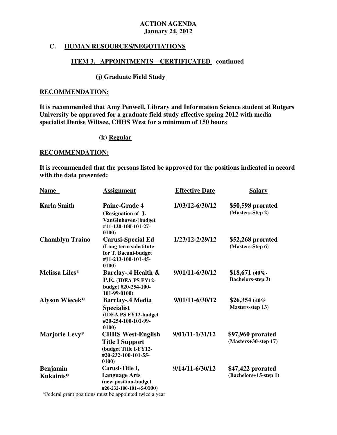## **C. HUMAN RESOURCES/NEGOTIATIONS**

#### **ITEM 3. APPOINTMENTS—CERTIFICATED** - **continued**

## **(j) Graduate Field Study**

#### **RECOMMENDATION:**

 **It is recommended that Amy Penwell, Library and Information Science student at Rutgers University be approved for a graduate field study effective spring 2012 with media specialist Denise Wiltsee, CHHS West for a minimum of 150 hours** 

#### **(k) Regular**

#### **RECOMMENDATION:**

 **It is recommended that the persons listed be approved for the positions indicated in accord with the data presented:** 

| <b>Name</b>                  | <b>Assignment</b>                                                                                           | <b>Effective Date</b> | <b>Salary</b>                               |
|------------------------------|-------------------------------------------------------------------------------------------------------------|-----------------------|---------------------------------------------|
| <b>Karla Smith</b>           | Paine-Grade 4<br>(Resignation of J.<br>VanGinhoven-(budget<br>#11-120-100-101-27-<br>0100)                  | 1/03/12-6/30/12       | \$50,598 prorated<br>(Masters-Step 2)       |
| <b>Chamblyn Traino</b>       | <b>Carusi-Special Ed</b><br>(Long term substitute<br>for T. Bacani-budget<br>#11-213-100-101-45-<br>0100    | 1/23/12-2/29/12       | \$52,268 prorated<br>(Masters-Step 6)       |
| Melissa Liles*               | <b>Barclay-.4 Health &amp;</b><br>P.E. (IDEA PS FY12-<br>budget #20-254-100-<br>101-99-0100)                | 9/01/11-6/30/12       | $$18,671$ (40%)<br><b>Bachelors-step 3)</b> |
| <b>Alyson Wiecek*</b>        | <b>Barclay-.4 Media</b><br><b>Specialist</b><br>(IDEA PS FY12-budget<br>#20-254-100-101-99-<br>0100)        | 9/01/11-6/30/12       | $$26,354$ (40%)<br><b>Masters-step 13)</b>  |
| Marjorie Levy*               | <b>CHHS West-English</b><br><b>Title I Support</b><br>(budget Title I-FY12-<br>#20-232-100-101-55-<br>0100) | 9/01/11-1/31/12       | \$97,960 prorated<br>$(Masters+30-step 17)$ |
| <b>Benjamin</b><br>Kukainis* | Carusi-Title I,<br><b>Language Arts</b><br>(new position-budget<br>#20-232-100-101-45-0100)                 | 9/14/11-6/30/12       | \$47,422 prorated<br>(Bachelors+15-step 1)  |

\*Federal grant positions must be appointed twice a year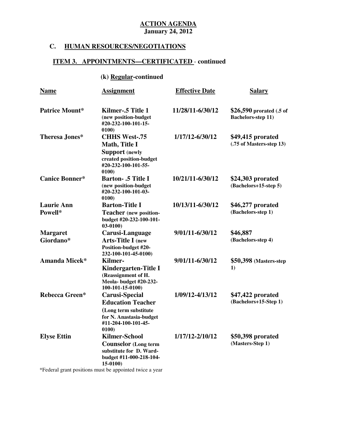# **C. HUMAN RESOURCES/NEGOTIATIONS**

# **ITEM 3. APPOINTMENTS—CERTIFICATED** - **continued**

# **(k) Regular-continued**

| <b>Name</b>                  | <b>Assignment</b>                                                                                                                     | <b>Effective Date</b> | <b>Salary</b>                                         |
|------------------------------|---------------------------------------------------------------------------------------------------------------------------------------|-----------------------|-------------------------------------------------------|
| <b>Patrice Mount*</b>        | Kilmer-.5 Title 1<br>(new position-budget<br>#20-232-100-101-15-<br>0100)                                                             | 11/28/11-6/30/12      | \$26,590 prorated (.5 of<br><b>Bachelors-step 11)</b> |
| <b>Theresa Jones*</b>        | <b>CHHS West-.75</b><br>Math, Title I<br><b>Support</b> (newly<br>created position-budget<br>#20-232-100-101-55-<br>0100              | 1/17/12-6/30/12       | \$49,415 prorated<br>(.75 of Masters-step 13)         |
| <b>Canice Bonner*</b>        | <b>Barton-.5 Title I</b><br>(new position-budget<br>#20-232-100-101-03-<br>0100)                                                      | 10/21/11-6/30/12      | \$24,303 prorated<br>(Bachelors+15-step 5)            |
| <b>Laurie Ann</b><br>Powell* | <b>Barton-Title I</b><br><b>Teacher</b> (new position-<br>budget #20-232-100-101-<br>$03-0100$                                        | 10/13/11-6/30/12      | \$46,277 prorated<br>(Bachelors-step 1)               |
| <b>Margaret</b><br>Giordano* | Carusi-Language<br><b>Arts-Title I</b> (new<br>Position-budget #20-<br>232-100-101-45-0100)                                           | 9/01/11-6/30/12       | \$46,887<br>(Bachelors-step 4)                        |
| <b>Amanda Micek*</b>         | Kilmer-<br>Kindergarten-Title I<br>(Reassignment of H.<br>Meola- budget #20-232-<br>100-101-15-0100)                                  | 9/01/11-6/30/12       | \$50,398 (Masters-step)<br>1)                         |
| <b>Rebecca Green*</b>        | <b>Carusi-Special</b><br><b>Education Teacher</b><br>(Long term substitute<br>for N. Anastasia-budget<br>#11-204-100-101-45-<br>0100) | 1/09/12-4/13/12       | \$47,422 prorated<br>(Bachelors+15-Step 1)            |
| <b>Elyse Ettin</b>           | <b>Kilmer-School</b><br><b>Counselor</b> (Long term<br>substitute for D. Ward-<br>budget #11-000-218-104-<br>15-0100)                 | 1/17/12-2/10/12       | \$50,398 prorated<br>(Masters-Step 1)                 |

\*Federal grant positions must be appointed twice a year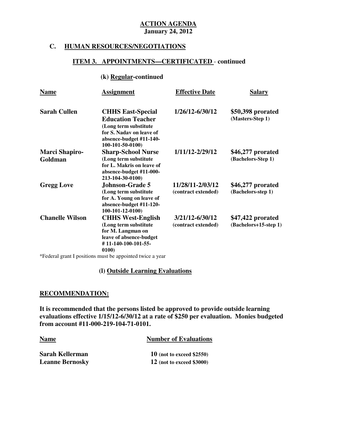#### **C. HUMAN RESOURCES/NEGOTIATIONS**

#### **ITEM 3. APPOINTMENTS—CERTIFICATED** - **continued**

#### **(k) Regular-continued**

| <b>Name</b>                      | <b>Assignment</b>                                                                                                                                         | <b>Effective Date</b>                   | Salary                                     |
|----------------------------------|-----------------------------------------------------------------------------------------------------------------------------------------------------------|-----------------------------------------|--------------------------------------------|
| <b>Sarah Cullen</b>              | <b>CHHS East-Special</b><br><b>Education Teacher</b><br>(Long term substitute)<br>for S. Naday on leave of<br>absence-budget #11-140-<br>100-101-50-0100) | 1/26/12-6/30/12                         | \$50,398 prorated<br>(Masters-Step 1)      |
| <b>Marci Shapiro-</b><br>Goldman | <b>Sharp-School Nurse</b><br>(Long term substitute<br>for L. Makris on leave of<br>absence-budget #11-000-<br>213-104-30-0100)                            | 1/11/12-2/29/12                         | \$46,277 prorated<br>(Bachelors-Step 1)    |
| <b>Gregg Love</b>                | <b>Johnson-Grade 5</b><br>(Long term substitute)<br>for A. Young on leave of<br>absence-budget #11-120-<br>100-101-12-0100)                               | 11/28/11-2/03/12<br>(contract extended) | \$46,277 prorated<br>(Bachelors-step 1)    |
| <b>Chanelle Wilson</b>           | <b>CHHS West-English</b><br>(Long term substitute<br>for M. Langman on<br>leave of absence-budget<br>#11-140-100-101-55-<br>0100)                         | 3/21/12-6/30/12<br>(contract extended)  | \$47,422 prorated<br>(Bachelors+15-step 1) |

\*Federal grant I positions must be appointed twice a year

#### **(l) Outside Learning Evaluations**

#### **RECOMMENDATION:**

 **It is recommended that the persons listed be approved to provide outside learning evaluations effective 1/15/12-6/30/12 at a rate of \$250 per evaluation. Monies budgeted from account #11-000-219-104-71-0101.** 

#### **Name** *Number of Evaluations*

| Sarah Kellerman        |  |
|------------------------|--|
| <b>Leanne Bernosky</b> |  |

**10** (not to exceed \$2550) **12** (not to exceed \$3000)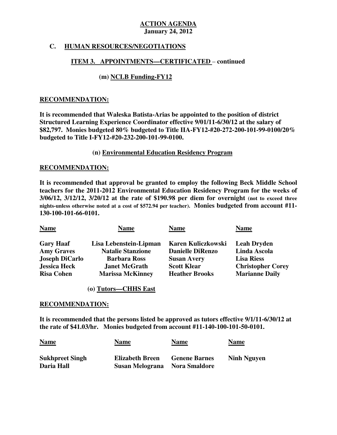# **C. HUMAN RESOURCES/NEGOTIATIONS**

## **ITEM 3. APPOINTMENTS—CERTIFICATED** – **continued**

# **(m) NCLB Funding-FY12**

#### **RECOMMENDATION:**

 **It is recommended that Waleska Batista-Arias be appointed to the position of district Structured Learning Experience Coordinator effective 9/01/11-6/30/12 at the salary of \$82,797. Monies budgeted 80% budgeted to Title IIA-FY12-#20-272-200-101-99-0100/20% budgeted to Title I-FY12-#20-232-200-101-99-0100.** 

#### **(n) Environmental Education Residency Program**

#### **RECOMMENDATION:**

 **It is recommended that approval be granted to employ the following Beck Middle School teachers for the 2011-2012 Environmental Education Residency Program for the weeks of 3/06/12, 3/12/12, 3/20/12 at the rate of \$190.98 per diem for overnight (not to exceed three nights-unless otherwise noted at a cost of \$572.94 per teacher). Monies budgeted from account #11 130-100-101-66-0101.** 

| <b>Name</b>           | Name                     | <b>Name</b>             | <b>Name</b>              |
|-----------------------|--------------------------|-------------------------|--------------------------|
| <b>Gary Haaf</b>      | Lisa Lebenstein-Lipman   | Karen Kuliczkowski      | <b>Leah Dryden</b>       |
| <b>Amy Graves</b>     | <b>Natalie Stanzione</b> | <b>Danielle DiRenzo</b> | Linda Ascola             |
| <b>Joseph DiCarlo</b> | <b>Barbara Ross</b>      | <b>Susan Avery</b>      | <b>Lisa Riess</b>        |
| <b>Jessica Heck</b>   | <b>Janet McGrath</b>     | <b>Scott Klear</b>      | <b>Christopher Corey</b> |
| <b>Risa Cohen</b>     | <b>Marissa McKinney</b>  | <b>Heather Brooks</b>   | <b>Marianne Daily</b>    |

#### **(o) Tutors—CHHS East**

#### **RECOMMENDATION:**

 **It is recommended that the persons listed be approved as tutors effective 9/1/11-6/30/12 at the rate of \$41.03/hr. Monies budgeted from account #11-140-100-101-50-0101.** 

| <b>Name</b>            | <b>Name</b>            | Name                 | <b>Name</b>        |
|------------------------|------------------------|----------------------|--------------------|
| <b>Sukhpreet Singh</b> | <b>Elizabeth Breen</b> | <b>Genene Barnes</b> | <b>Ninh Nguyen</b> |
| Daria Hall             | Susan Melograna        | <b>Nora Smaldore</b> |                    |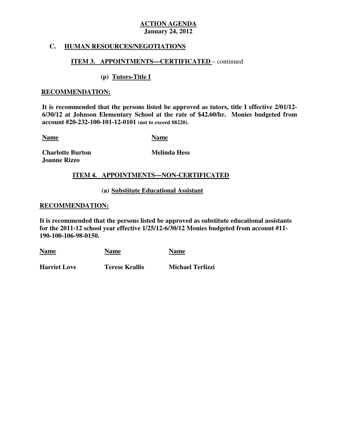#### **C. HUMAN RESOURCES/NEGOTIATIONS**

#### **ITEM 3. APPOINTMENTS—CERTIFICATED** – continued

#### **(p) Tutors-Title I**

#### **RECOMMENDATION:**

 **It is recommended that the persons listed be approved as tutors, title I effective 2/01/12 6/30/12 at Johnson Elementary School at the rate of \$42.60/hr. Monies budgeted from account #20-232-100-101-12-0101 (not to exceed \$8220).** 

**Name Name** 

**Charlotte Burton** Melinda Hess  **Joanne Rizzo** 

#### **ITEM 4. APPOINTMENTS—NON-CERTIFICATED**

#### **(a) Substitute Educational Assistant**

#### **RECOMMENDATION:**

 **It is recommended that the persons listed be approved as substitute educational assistants for the 2011-12 school year effective 1/25/12-6/30/12 Monies budgeted from account #11 190-100-106-98-0150.** 

| <b>Name</b>         | <b>Name</b>    | <b>Name</b>             |
|---------------------|----------------|-------------------------|
| <b>Harriet Love</b> | Terese Krallis | <b>Michael Terlizzi</b> |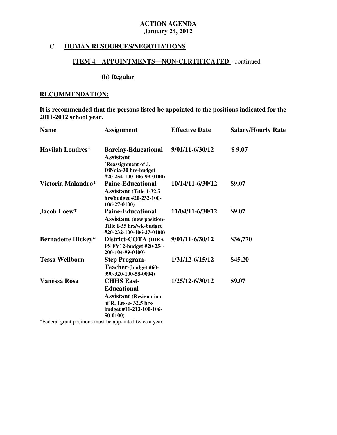# **C. HUMAN RESOURCES/NEGOTIATIONS**

# **ITEM 4. APPOINTMENTS—NON-CERTIFICATED** - continued

# **(b) Regular**

# **RECOMMENDATION:**

 **It is recommended that the persons listed be appointed to the positions indicated for the 2011-2012 school year.** 

| <b>Name</b>               | <b>Assignment</b>                                                                                                                         | <b>Effective Date</b> | <b>Salary/Hourly Rate</b> |
|---------------------------|-------------------------------------------------------------------------------------------------------------------------------------------|-----------------------|---------------------------|
| <b>Havilah Londres*</b>   | <b>Barclay-Educational</b><br><b>Assistant</b><br>(Reassignment of J.<br>DiNoia-30 hrs-budget<br>#20-254-100-106-99-0100)                 | 9/01/11-6/30/12       | \$9.07                    |
| Victoria Malandro*        | <b>Paine-Educational</b><br><b>Assistant</b> (Title 1-32.5)<br>hrs/budget #20-232-100-<br>$106 - 27 - 0100$                               | 10/14/11-6/30/12      | \$9.07                    |
| Jacob Loew*               | <b>Paine-Educational</b><br><b>Assistant</b> (new position-<br>Title I-35 hrs/wk-budget<br>#20-232-100-106-27-0100)                       | 11/04/11-6/30/12      | \$9.07                    |
| <b>Bernadette Hickey*</b> | District-COTA (IDEA<br>PS FY12-budget #20-254-<br>200-104-99-0100)                                                                        | 9/01/11-6/30/12       | \$36,770                  |
| <b>Tessa Wellborn</b>     | <b>Step Program-</b><br>Teacher-(budget #60-<br>990-320-100-58-0004)                                                                      | 1/31/12-6/15/12       | \$45.20                   |
| <b>Vanessa Rosa</b>       | <b>CHHS East-</b><br><b>Educational</b><br><b>Assistant</b> (Resignation<br>of R. Lesse- 32.5 hrs-<br>budget #11-213-100-106-<br>50-0100) | 1/25/12-6/30/12       | \$9.07                    |

\*Federal grant positions must be appointed twice a year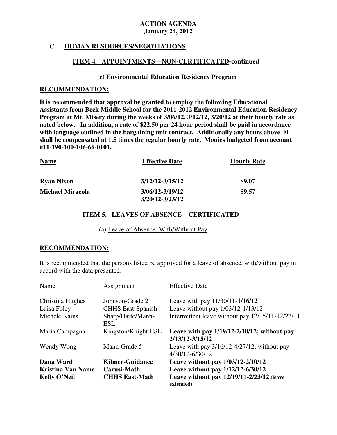# **C. HUMAN RESOURCES/NEGOTIATIONS**

## **ITEM 4. APPOINTMENTS—NON-CERTIFICATED-continued**

#### **(c) Environmental Education Residency Program**

#### **RECOMMENDATION:**

 **It is recommended that approval be granted to employ the following Educational Assistants from Beck Middle School for the 2011-2012 Environmental Education Residency Program at Mt. Misery during the weeks of 3/06/12, 3/12/12, 3/20/12 at their hourly rate as noted below. In addition, a rate of \$22.50 per 24 hour period shall be paid in accordance with language outlined in the bargaining unit contract. Additionally any hours above 40 shall be compensated at 1.5 times the regular hourly rate. Monies budgeted from account #11-190-100-106-66-0101.** 

| <b>Name</b>             | <b>Effective Date</b> | <b>Hourly Rate</b> |
|-------------------------|-----------------------|--------------------|
| <b>Ryan Nixon</b>       | 3/12/12-3/15/12       | \$9.07             |
| <b>Michael Miracola</b> | 3/06/12-3/19/12       | \$9.57             |
|                         | 3/20/12-3/23/12       |                    |

# **ITEM 5. LEAVES OF ABSENCE—CERTIFICATED**

(a) Leave of Absence, With/Without Pay

#### **RECOMMENDATION:**

 It is recommended that the persons listed be approved for a leave of absence, with/without pay in accord with the data presented:

| Name                     | Assignment                      | <b>Effective Date</b>                                               |
|--------------------------|---------------------------------|---------------------------------------------------------------------|
| Christina Hughes         | Johnson-Grade 2                 | Leave with pay 11/30/11-1/16/12                                     |
| Luisa Foley              | <b>CHHS</b> East-Spanish        | Leave without pay 1/03/12-1/13/12                                   |
| Michele Kains            | Sharp/Harte/Mann-<br><b>ESL</b> | Intermittent leave without pay 12/15/11-12/23/11                    |
| Maria Campagna           | Kingston/Knight-ESL             | Leave with pay $1/19/12 - 2/10/12$ ; without pay<br>2/13/12-3/15/12 |
| Wendy Wong               | Mann-Grade 5                    | Leave with pay $3/16/12 - 4/27/12$ ; without pay<br>4/30/12-6/30/12 |
| Dana Ward                | <b>Kilmer-Guidance</b>          | Leave without pay 1/03/12-2/10/12                                   |
| <b>Kristina Van Name</b> | Carusi-Math                     | Leave without pay 1/12/12-6/30/12                                   |
| <b>Kelly O'Neil</b>      | <b>CHHS East-Math</b>           | Leave without pay 12/19/11-2/23/12 (leave<br>extended)              |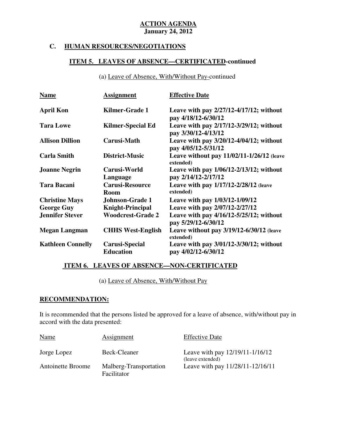# **C. HUMAN RESOURCES/NEGOTIATIONS**

# **ITEM 5. LEAVES OF ABSENCE—CERTIFICATED-continued**

(a) Leave of Absence, With/Without Pay-continued

| <b>Name</b>              | <b>Assignment</b>                         | <b>Effective Date</b>                                               |
|--------------------------|-------------------------------------------|---------------------------------------------------------------------|
| <b>April Kon</b>         | Kilmer-Grade 1                            | Leave with pay $2/27/12 - 4/17/12$ ; without<br>pay 4/18/12-6/30/12 |
| <b>Tara Lowe</b>         | <b>Kilmer-Special Ed</b>                  | Leave with pay 2/17/12-3/29/12; without<br>pay 3/30/12-4/13/12      |
| <b>Allison Dillion</b>   | Carusi-Math                               | Leave with pay $3/20/12 - 4/04/12$ ; without<br>pay 4/05/12-5/31/12 |
| <b>Carla Smith</b>       | District-Music                            | Leave without pay $11/02/11-1/26/12$ (leave<br>extended)            |
| <b>Joanne Negrin</b>     | Carusi-World<br>Language                  | Leave with pay $1/06/12-2/13/12$ ; without<br>pay 2/14/12-2/17/12   |
| <b>Tara Bacani</b>       | <b>Carusi-Resource</b><br><b>Room</b>     | Leave with pay 1/17/12-2/28/12 (leave<br>extended)                  |
| <b>Christine Mays</b>    | <b>Johnson-Grade 1</b>                    | Leave with pay $1/03/12 - 1/09/12$                                  |
| <b>George Guy</b>        | <b>Knight-Principal</b>                   | Leave with pay 2/07/12-2/27/12                                      |
| <b>Jennifer Stever</b>   | <b>Woodcrest-Grade 2</b>                  | Leave with pay $4/16/12 - 5/25/12$ ; without<br>pay 5/29/12-6/30/12 |
| <b>Megan Langman</b>     | <b>CHHS West-English</b>                  | Leave without pay $3/19/12 - 6/30/12$ (leave<br>extended)           |
| <b>Kathleen Connelly</b> | <b>Carusi-Special</b><br><b>Education</b> | Leave with pay 3/01/12-3/30/12; without<br>pay 4/02/12-6/30/12      |

#### **ITEM 6. LEAVES OF ABSENCE—NON-CERTIFICATED**

(a) Leave of Absence, With/Without Pay

#### **RECOMMENDATION:**

 It is recommended that the persons listed be approved for a leave of absence, with/without pay in accord with the data presented:

| Name              | Assignment                            | <b>Effective Date</b>                               |
|-------------------|---------------------------------------|-----------------------------------------------------|
| Jorge Lopez       | Beck-Cleaner                          | Leave with pay 12/19/11-1/16/12<br>(leave extended) |
| Antoinette Broome | Malberg-Transportation<br>Facilitator | Leave with pay 11/28/11-12/16/11                    |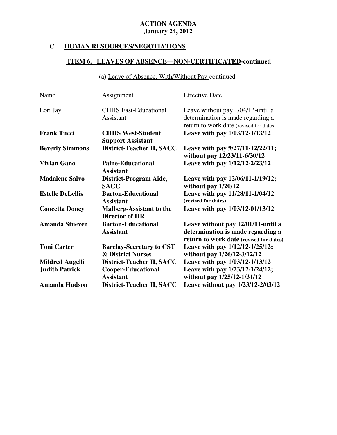# **C. HUMAN RESOURCES/NEGOTIATIONS**

# **ITEM 6. LEAVES OF ABSENCE—NON-CERTIFICATED-continued**

(a) Leave of Absence, With/Without Pay-continued

| Name                    | <b>Assignment</b>                                               | <b>Effective Date</b>                                                                                              |
|-------------------------|-----------------------------------------------------------------|--------------------------------------------------------------------------------------------------------------------|
| Lori Jay                | <b>CHHS East-Educational</b><br>Assistant                       | Leave without pay 1/04/12-until a<br>determination is made regarding a<br>return to work date (revised for dates)  |
| <b>Frank Tucci</b>      | <b>CHHS West-Student</b><br><b>Support Assistant</b>            | Leave with pay 1/03/12-1/13/12                                                                                     |
| <b>Beverly Simmons</b>  | District-Teacher II, SACC                                       | Leave with pay 9/27/11-12/22/11;<br>without pay 12/23/11-6/30/12                                                   |
| <b>Vivian Gano</b>      | <b>Paine-Educational</b><br><b>Assistant</b>                    | Leave with pay 1/12/12-2/23/12                                                                                     |
| <b>Madalene Salvo</b>   | District-Program Aide,<br><b>SACC</b>                           | Leave with pay 12/06/11-1/19/12;<br>without pay $1/20/12$                                                          |
| <b>Estelle DeLellis</b> | <b>Barton-Educational</b><br><b>Assistant</b>                   | Leave with pay 11/28/11-1/04/12<br>(revised for dates)                                                             |
| <b>Concetta Doney</b>   | <b>Malberg-Assistant to the</b><br><b>Director of HR</b>        | Leave with pay 1/03/12-01/13/12                                                                                    |
| <b>Amanda Stueven</b>   | <b>Barton-Educational</b><br><b>Assistant</b>                   | Leave without pay 12/01/11-until a<br>determination is made regarding a<br>return to work date (revised for dates) |
| <b>Toni Carter</b>      | <b>Barclay-Secretary to CST</b><br><b>&amp; District Nurses</b> | Leave with pay 1/12/12-1/25/12;<br>without pay 1/26/12-3/12/12                                                     |
| <b>Mildred Augelli</b>  | District-Teacher II, SACC                                       | Leave with pay 1/03/12-1/13/12                                                                                     |
| <b>Judith Patrick</b>   | <b>Cooper-Educational</b><br><b>Assistant</b>                   | Leave with pay 1/23/12-1/24/12;<br>without pay 1/25/12-1/31/12                                                     |
| <b>Amanda Hudson</b>    | District-Teacher II, SACC                                       | Leave without pay 1/23/12-2/03/12                                                                                  |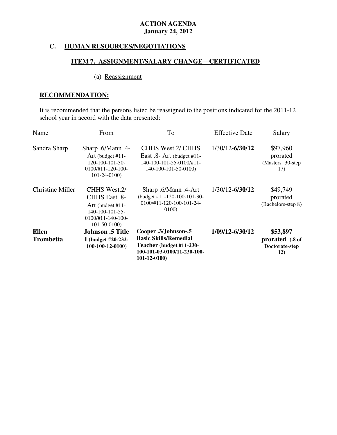# **C. HUMAN RESOURCES/NEGOTIATIONS**

# **ITEM 7. ASSIGNMENT/SALARY CHANGE—CERTIFICATED**

# (a) Reassignment

# **RECOMMENDATION:**

 It is recommended that the persons listed be reassigned to the positions indicated for the 2011-12 school year in accord with the data presented:

| <b>Trombetta</b>        | I (budget $\#20-232$ -<br>$100-100-12-0100$                                                                                       | <b>Basic Skills/Remedial</b><br>Teacher (budget #11-230-<br>100-101-03-0100/11-230-100-<br>$101 - 12 - 0100$ |                       | prorated (.8 of<br>Doctorate-step<br>12)          |
|-------------------------|-----------------------------------------------------------------------------------------------------------------------------------|--------------------------------------------------------------------------------------------------------------|-----------------------|---------------------------------------------------|
| <b>Ellen</b>            | Johnson .5 Title                                                                                                                  | Cooper .3/Johnson-.5                                                                                         | 1/09/12-6/30/12       | \$53,897                                          |
| <b>Christine Miller</b> | <b>CHHS West.2/</b><br>CHHS East .8-<br>Art (budget $#11$ -<br>$140-100-101-55-$<br>$0100 \div 11 - 140 - 100 -$<br>$101-50-0100$ | Sharp .6/Mann .4-Art<br>(budget #11-120-100-101-30-<br>0100/#11-120-100-101-24-<br>0100)                     | 1/30/12-6/30/12       | \$49,749<br>prorated<br>(Bachelors-step 8)        |
| Sandra Sharp            | -4. Sharp .6/Mann<br>Art (budget $#11$ -<br>$120 - 100 - 101 - 30 -$<br>$0100/\text{\#}11 - 120 - 100$<br>$101 - 24 - 0100$       | <b>CHHS West.2/ CHHS</b><br>East $.8$ - Art (budget #11-<br>140-100-101-55-0100/#11-<br>140-100-101-50-0100) | 1/30/12-6/30/12       | \$97,960<br>prorated<br>$(Masters+30-step$<br>17) |
| Name                    | From                                                                                                                              | To                                                                                                           | <b>Effective Date</b> | Salary                                            |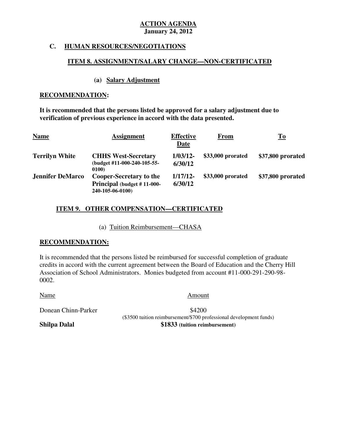## **C. HUMAN RESOURCES/NEGOTIATIONS**

#### **ITEM 8. ASSIGNMENT/SALARY CHANGE—NON-CERTIFICATED**

#### **(a) Salary Adjustment**

#### **RECOMMENDATION:**

 **It is recommended that the persons listed be approved for a salary adjustment due to verification of previous experience in accord with the data presented.** 

| <b>Name</b>             | <b>Assignment</b>                                                                | <b>Effective</b><br>Date | <b>From</b>       | $\underline{\mathbf{To}}$ |
|-------------------------|----------------------------------------------------------------------------------|--------------------------|-------------------|---------------------------|
| <b>Terrilyn White</b>   | <b>CHHS West-Secretary</b><br>(budget #11-000-240-105-55-<br>0100)               | $1/03/12$ -<br>6/30/12   | \$33,000 prorated | \$37,800 prorated         |
| <b>Jennifer DeMarco</b> | <b>Cooper-Secretary to the</b><br>Principal (budget #11-000-<br>240-105-06-0100) | $1/17/12$ -<br>6/30/12   | \$33,000 prorated | \$37,800 prorated         |

# **ITEM 9. OTHER COMPENSATION—CERTIFICATED**

(a) Tuition Reimbursement—CHASA

#### **RECOMMENDATION:**

 It is recommended that the persons listed be reimbursed for successful completion of graduate credits in accord with the current agreement between the Board of Education and the Cherry Hill Association of School Administrators. Monies budgeted from account #11-000-291-290-98 0002.

Name Amount

\$4200 Donean Chinn-Parker  $$4200$ <br>(\$3500 tuition reimbursement/\$700 professional development funds) **\$1833** (tuition reimbursement)

**Shilpa Dalal**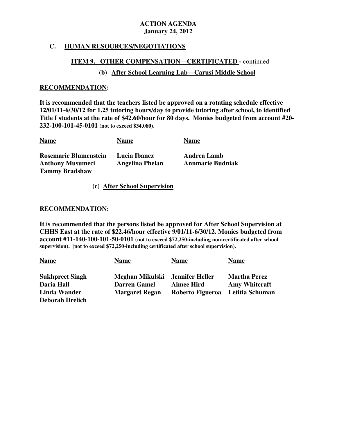# **C. HUMAN RESOURCES/NEGOTIATIONS**

#### **ITEM 9. OTHER COMPENSATION—CERTIFICATED -** continued

# **(b) After School Learning Lab—Carusi Middle School**

#### **RECOMMENDATION:**

 **It is recommended that the teachers listed be approved on a rotating schedule effective 12/01/11-6/30/12 for 1.25 tutoring hours/day to provide tutoring after school, to identified Title I students at the rate of \$42.60/hour for 80 days. Monies budgeted from account #20 232-100-101-45-0101 (not to exceed \$34,080).** 

| <b>Name</b>                                                                      | <b>Name</b>                            | <b>Name</b>                            |
|----------------------------------------------------------------------------------|----------------------------------------|----------------------------------------|
| <b>Rosemarie Blumenstein</b><br><b>Anthony Musumeci</b><br><b>Tammy Bradshaw</b> | Lucia Ibanez<br><b>Angelina Phelan</b> | Andrea Lamb<br><b>Annmarie Budniak</b> |

**(c) After School Supervision** 

#### **RECOMMENDATION:**

RECOMMENDATION:<br>It is recommended that the persons listed be approved for After School Supervision at  **CHHS East at the rate of \$22.46/hour effective 9/01/11-6/30/12. Monies budgeted from account #11-140-100-101-50-0101 (not to exceed \$72,250-including non-certificated after school supervision). (not to exceed \$72,250-including certificated after school supervision).** 

| <b>Name</b>            | <b>Name</b>           | <b>Name</b>       | <b>Name</b>          |
|------------------------|-----------------------|-------------------|----------------------|
| <b>Sukhpreet Singh</b> | Meghan Mikulski       | Jennifer Heller   | <b>Martha Perez</b>  |
| Daria Hall             | <b>Darren Gamel</b>   | <b>Aimee Hird</b> | <b>Amy Whitcraft</b> |
| <b>Linda Wander</b>    | <b>Margaret Regan</b> | Roberto Figueroa  | Letitia Schuman      |
| <b>Deborah Drelich</b> |                       |                   |                      |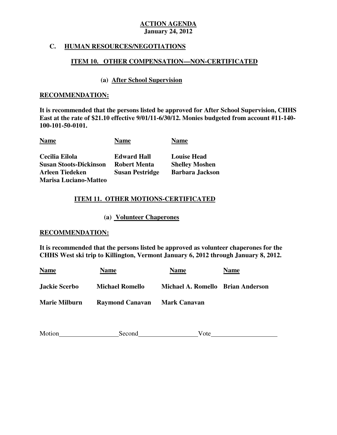## **C. HUMAN RESOURCES/NEGOTIATIONS**

## **ITEM 10. OTHER COMPENSATION—NON-CERTIFICATED**

# **(a) After School Supervision**

## **RECOMMENDATION:**

 **RECOMMENDATION: It is recommended that the persons listed be approved for After School Supervision, CHHS East at the rate of \$21.10 effective 9/01/11-6/30/12. Monies budgeted from account #11-140** 100-101-50-0101. 100-101-50-0101.<br><u>Name</u> <u>Name</u> <u>Name</u>

| <b>Name</b>                   | <b>Name</b>            | <b>Name</b>            |
|-------------------------------|------------------------|------------------------|
| Cecilia Eilola                | <b>Edward Hall</b>     | <b>Louise Head</b>     |
| <b>Susan Stoots-Dickinson</b> | <b>Robert Menta</b>    | <b>Shelley Moshen</b>  |
| <b>Arleen Tiedeken</b>        | <b>Susan Pestridge</b> | <b>Barbara Jackson</b> |
| <b>Marisa Luciano-Matteo</b>  |                        |                        |

# Marisa Luciano-Matteo<br>ITEM 11. OTHER MOTIONS-CERTIFICATED

 **(a) Volunteer Chaperones** 

#### **RECOMMENDATION:**

 **It is recommended that the persons listed be approved as volunteer chaperones for the CHHS West ski trip to Killington, Vermont January 6, 2012 through January 8, 2012.** 

| <b>Name</b>          | <u>Name</u>            | <b>Name</b>                       | <b>Name</b> |
|----------------------|------------------------|-----------------------------------|-------------|
| <b>Jackie Scerbo</b> | <b>Michael Romello</b> | Michael A. Romello Brian Anderson |             |
| <b>Marie Milburn</b> | <b>Raymond Canavan</b> | Mark Canavan                      |             |

| Motion | Second | v ote |  |
|--------|--------|-------|--|
|        |        |       |  |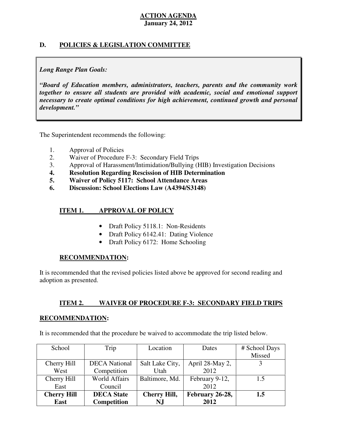# **D. POLICIES & LEGISLATION COMMITTEE**

# *Long Range Plan Goals:*

 *"Board of Education members, administrators, teachers, parents and the community work together to ensure all students are provided with academic, social and emotional support necessary to create optimal conditions for high achievement, continued growth and personal development."* 

The Superintendent recommends the following:

- 1. Approval of Policies
- 2. Waiver of Procedure F-3: Secondary Field Trips
- 3. Approval of Harassment/Intimidation/Bullying (HIB) Investigation Decisions
- **4. Resolution Regarding Rescission of HIB Determination**
- **5. Waiver of Policy 5117: School Attendance Areas**
- **6. Discussion: School Elections Law (A4394/S3148)**

#### **ITEM 1. IMPROVAL OF POLICY**

- Draft Policy 5118.1: Non-Residents
- Draft Policy 6142.41: Dating Violence
- Draft Policy 6172: Home Schooling

#### **RECOMMENDATION:**

 It is recommended that the revised policies listed above be approved for second reading and adoption as presented.

#### **ITEM 2. ITEM 2. WAIVER OF PROCEDURE F-3: SECONDARY FIELD TRIPS**

#### **RECOMMENDATION:**

It is recommended that the procedure be waived to accommodate the trip listed below.

| School             | Trip                 | Location            | Dates           | # School Days |
|--------------------|----------------------|---------------------|-----------------|---------------|
|                    |                      |                     |                 | Missed        |
| Cherry Hill        | <b>DECA</b> National | Salt Lake City,     | April 28-May 2, |               |
| West               | Competition          | Utah                | 2012            |               |
| Cherry Hill        | <b>World Affairs</b> | Baltimore, Md.      | February 9-12,  | 1.5           |
| East               | Council              |                     | 2012            |               |
| <b>Cherry Hill</b> | <b>DECA</b> State    | <b>Cherry Hill,</b> | February 26-28, | 1.5           |
| East               | <b>Competition</b>   | N.J                 | 2012            |               |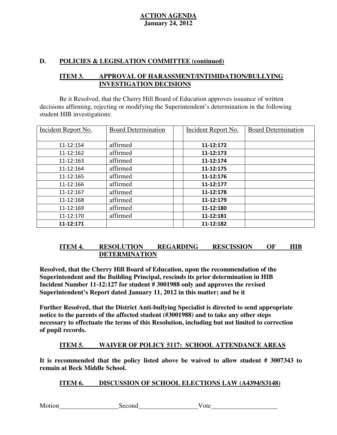# **D. POLICIES & LEGISLATION COMMITTEE (continued)**

#### **ITEM 3.** APPROVAL OF HARASSMENT/INTIMIDATION/BULLYING **INVESTIGATION DECISIONS**

 decisions affirming, rejecting or modifying the Superintendent's determination in the following student HIB investigations: Be it Resolved, that the Cherry Hill Board of Education approves issuance of written

| <b>Incident Report No.</b> | <b>Board Determination</b> | <b>Incident Report No.</b> | <b>Board Determination</b> |
|----------------------------|----------------------------|----------------------------|----------------------------|
|                            |                            |                            |                            |
| 11-12:154                  | affirmed                   | 11-12:172                  |                            |
| 11-12:162                  | affirmed                   | 11-12:173                  |                            |
| 11-12:163                  | affirmed                   | 11-12:174                  |                            |
| 11-12:164                  | affirmed                   | 11-12:175                  |                            |
| 11-12:165                  | affirmed                   | 11-12:176                  |                            |
| 11-12:166                  | affirmed                   | 11-12:177                  |                            |
| 11-12:167                  | affirmed                   | 11-12:178                  |                            |
| 11-12:168                  | affirmed                   | 11-12:179                  |                            |
| 11-12:169                  | affirmed                   | 11-12:180                  |                            |
| 11-12:170                  | affirmed                   | 11-12:181                  |                            |
| 11-12:171                  |                            | 11-12:182                  |                            |

#### **ITEM 4. RESOLUTION REGARDING RESCISSION OF HIB DETERMINATION**

 **Resolved, that the Cherry Hill Board of Education, upon the recommendation of the Superintendent and the Building Principal, rescinds its prior determination in HIB Incident Number 11-12:127 for student # 3001988 only and approves the revised Superintendent's Report dated January 11, 2012 in this matter; and be it** 

 **Further Resolved, that the District Anti-bullying Specialist is directed to send appropriate notice to the parents of the affected student (#3001988) and to take any other steps necessary to effectuate the terms of this Resolution, including but not limited to correction of pupil records.** 

#### **ITEM 5. WAIVER OF POLICY 5117: SCHOOL ATTENDANCE AREAS**

 **It is recommended that the policy listed above be waived to allow student # 3007343 to remain at Beck Middle School.** 

#### **ITEM 6. DISCUSSION OF SCHOOL ELECTIONS LAW (A4394/S3148)**

| Motion |
|--------|
|--------|

Second Vote